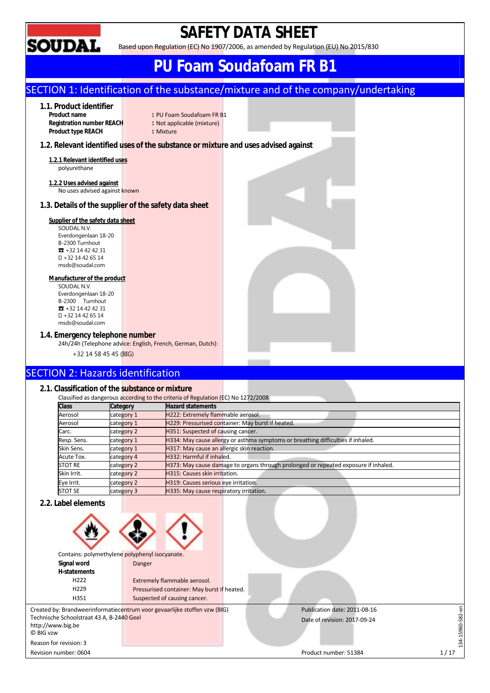

## **SAFETY DATA SHEET**

Based upon Regulation (EC) No 1907/2006, as amended by Regulation (EU) No 2015/830

## **PU Foam Soudafoam FR B1**

## SECTION 1: Identification of the substance/mixture and of the company/undertaking

## **1.1. Product identifier**

**Product type REACH : Mixture** 

- **Product name example 1** PU Foam Soudafoam FR B1<br> **Registration number REACH** Reader **Not applicable (mixture)** : Not applicable (mixture)
	-

## **1.2. Relevant identified uses of the substance or mixture and uses advised against**

**1.2.1 Relevant identified uses**  polyurethane

**1.2.2 Uses advised against**  No uses advised against known

## **1.3. Details of the supplier of the safety data sheet**

## **Supplier of the safety data sheet**

SOUDAL N.V. Everdongenlaan 18-20 B-2300 Turnhout ☎ +32 14 42 42 31 +32 14 42 65 14 msds@soudal.com

### **Manufacturer of the product**

SOUDAL N.V. Everdongenlaan 18-20 B-2300 Turnhout ☎ +32 14 42 42 31 +32 14 42 65 14 msds@soudal.com

## **1.4. Emergency telephone number**

24h/24h (Telephone advice: English, French, German, Dutch):

+32 14 58 45 45 (BIG)

## SECTION 2: Hazards identification

## **2.1. Classification of the substance or mixture**

|                |            | Classified as dangerous according to the criteria of Regulation (EC) No 1272/2008   |
|----------------|------------|-------------------------------------------------------------------------------------|
| <b>Class</b>   | Category   | <b>Hazard statements</b>                                                            |
| Aerosol        | category 1 | H222: Extremely flammable aerosol.                                                  |
| Aerosol        | category 1 | H229: Pressurised container: May burst if heated.                                   |
| Carc.          | category 2 | H351: Suspected of causing cancer.                                                  |
| Resp. Sens.    | category 1 | H334: May cause allergy or asthma symptoms or breathing difficulties if inhaled.    |
| Skin Sens.     | category 1 | H317: May cause an allergic skin reaction.                                          |
| Acute Tox.     | category 4 | H332: Harmful if inhaled.                                                           |
| <b>STOT RE</b> | category 2 | H373: May cause damage to organs through prolonged or repeated exposure if inhaled. |
| Skin Irrit.    | category 2 | H315: Causes skin irritation.                                                       |
| Eye Irrit.     | category 2 | H319: Causes serious eye irritation.                                                |
| <b>STOT SE</b> | category 3 | H335: May cause respiratory irritation.                                             |

## **2.2. Label elements**

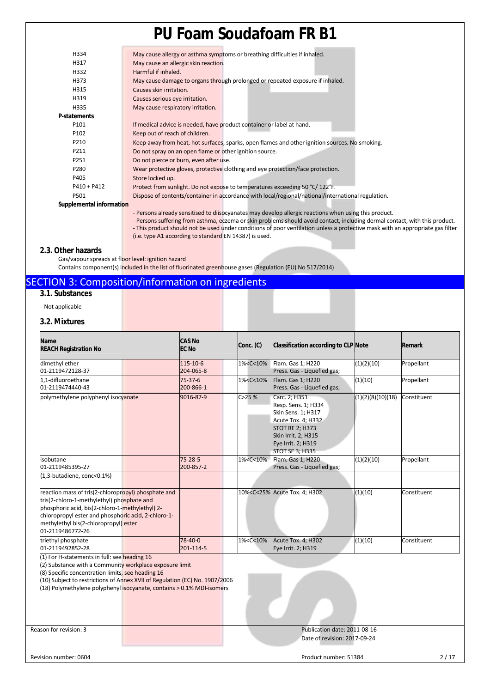| H334                     | May cause allergy or asthma symptoms or breathing difficulties if inhaled.                            |
|--------------------------|-------------------------------------------------------------------------------------------------------|
| H317                     | May cause an allergic skin reaction.                                                                  |
| H332                     | Harmful if inhaled.                                                                                   |
| H373                     | May cause damage to organs through prolonged or repeated exposure if inhaled.                         |
| H315                     | Causes skin irritation.                                                                               |
| H319                     | Causes serious eye irritation.                                                                        |
| H335                     | May cause respiratory irritation.                                                                     |
| <b>P-statements</b>      |                                                                                                       |
| P <sub>101</sub>         | If medical advice is needed, have product container or label at hand.                                 |
| P102                     | Keep out of reach of children.                                                                        |
| P210                     | Keep away from heat, hot surfaces, sparks, open flames and other ignition sources. No smoking.        |
| P211                     | Do not spray on an open flame or other ignition source.                                               |
| P251                     | Do not pierce or burn, even after use.                                                                |
| P280                     | Wear protective gloves, protective clothing and eye protection/face protection.                       |
| P405                     | Store locked up.                                                                                      |
| $P410 + P412$            | Protect from sunlight. Do not expose to temperatures exceeding 50 °C/122°F.                           |
| P501                     | Dispose of contents/container in accordance with local/regional/national/international regulation.    |
| Supplemental information |                                                                                                       |
|                          | - Persons already sensitised to diisocyanates may develop allergic reactions when using this product. |

- Persons suffering from asthma, eczema or skin problems should avoid contact, including dermal contact, with this product. - This product should not be used under conditions of poor ventilation unless a protective mask with an appropriate gas filter (i.e. type A1 according to standard EN 14387) is used.

## **2.3. Other hazards**

Gas/vapour spreads at floor level: ignition hazard

Contains component(s) included in the list of fluorinated greenhouse gases (Regulation (EU) No 517/2014)

## SECTION 3: Composition/information on ingredients

## **3.1. Substances**

Not applicable

## **3.2. Mixtures**

| <b>Name</b><br><b>REACH Registration No</b>                                                                                                                                                                                                                                                                          | <b>CAS No</b><br><b>EC No</b> | Conc. (C)                                                                                                                  | Classification according to CLP Note                                                                                                                                              |                   | Remark      |
|----------------------------------------------------------------------------------------------------------------------------------------------------------------------------------------------------------------------------------------------------------------------------------------------------------------------|-------------------------------|----------------------------------------------------------------------------------------------------------------------------|-----------------------------------------------------------------------------------------------------------------------------------------------------------------------------------|-------------------|-------------|
| dimethyl ether<br>01-2119472128-37                                                                                                                                                                                                                                                                                   | 115-10-6<br>204-065-8         | 1% <c<10%< th=""><th>Flam. Gas 1; H220<br/>Press. Gas - Liquefied gas;</th><th>(1)(2)(10)</th><th>Propellant</th></c<10%<> | Flam. Gas 1; H220<br>Press. Gas - Liquefied gas;                                                                                                                                  | (1)(2)(10)        | Propellant  |
| 1.1-difluoroethane<br>01-2119474440-43                                                                                                                                                                                                                                                                               | $75 - 37 - 6$<br>200-866-1    | 1% <c<10%< td=""><td>Flam. Gas 1; H220<br/>Press. Gas - Liquefied gas;</td><td>(1)(10)</td><td>Propellant</td></c<10%<>    | Flam. Gas 1; H220<br>Press. Gas - Liquefied gas;                                                                                                                                  | (1)(10)           | Propellant  |
| polymethylene polyphenyl isocyanate                                                                                                                                                                                                                                                                                  | 9016-87-9                     | C > 25%                                                                                                                    | Carc. 2; H351<br>Resp. Sens. 1; H334<br>Skin Sens. 1; H317<br>Acute Tox. 4; H332<br><b>STOT RE 2; H373</b><br>Skin Irrit. 2; H315<br>Eye Irrit. 2; H319<br><b>STOT SE 3; H335</b> | (1)(2)(8)(10)(18) | Constituent |
| isobutane<br>01-2119485395-27                                                                                                                                                                                                                                                                                        | $75 - 28 - 5$<br>200-857-2    | 1% <c<10%< td=""><td>Flam. Gas 1; H220<br/>Press. Gas - Liquefied gas;</td><td>(1)(2)(10)</td><td>Propellant</td></c<10%<> | Flam. Gas 1; H220<br>Press. Gas - Liquefied gas;                                                                                                                                  | (1)(2)(10)        | Propellant  |
| (1,3-butadiene, conc<0.1%)                                                                                                                                                                                                                                                                                           |                               |                                                                                                                            |                                                                                                                                                                                   |                   |             |
| reaction mass of tris(2-chloropropyl) phosphate and<br>tris(2-chloro-1-methylethyl) phosphate and<br>phosphoric acid, bis(2-chloro-1-methylethyl) 2-<br>chloropropyl ester and phosphoric acid, 2-chloro-1-<br>methylethyl bis(2-chloropropyl) ester<br>01-2119486772-26                                             |                               |                                                                                                                            | 10% <c<25% 4;="" acute="" h302<="" td="" tox.=""><td>(1)(10)</td><td>Constituent</td></c<25%>                                                                                     | (1)(10)           | Constituent |
| triethyl phosphate<br>01-2119492852-28                                                                                                                                                                                                                                                                               | 78-40-0<br>201-114-5          | 1% <c<10%< td=""><td>Acute Tox. 4; H302<br/>Eye Irrit. 2; H319</td><td>(1)(10)</td><td>Constituent</td></c<10%<>           | Acute Tox. 4; H302<br>Eye Irrit. 2; H319                                                                                                                                          | (1)(10)           | Constituent |
| (1) For H-statements in full: see heading 16<br>(2) Substance with a Community workplace exposure limit<br>(8) Specific concentration limits, see heading 16<br>(10) Subject to restrictions of Annex XVII of Regulation (EC) No. 1907/2006<br>(18) Polymethylene polyphenyl isocyanate, contains > 0.1% MDI-isomers |                               |                                                                                                                            |                                                                                                                                                                                   |                   |             |
| Reason for revision: 3                                                                                                                                                                                                                                                                                               |                               |                                                                                                                            | Publication date: 2011-08-16                                                                                                                                                      |                   |             |
|                                                                                                                                                                                                                                                                                                                      |                               |                                                                                                                            | Date of revision: 2017-09-24                                                                                                                                                      |                   |             |
| Revision number: 0604                                                                                                                                                                                                                                                                                                |                               |                                                                                                                            | Product number: 51384                                                                                                                                                             |                   | 2/17        |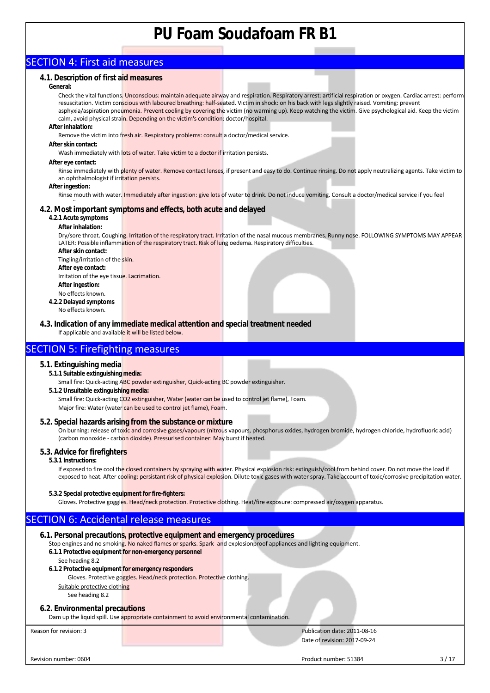## SECTION 4: First aid measures

## **4.1. Description of first aid measures**

### **General:**

Check the vital functions. Unconscious: maintain adequate airway and respiration. Respiratory arrest: artificial respiration or oxygen. Cardiac arrest: perform resuscitation. Victim conscious with laboured breathing: half-seated. Victim in shock: on his back with legs slightly raised. Vomiting: prevent asphyxia/aspiration pneumonia. Prevent cooling by covering the victim (no warming up). Keep watching the victim. Give psychological aid. Keep the victim calm, avoid physical strain. Depending on the victim's condition: doctor/hospital.

#### **After inhalation:**

Remove the victim into fresh air. Respiratory problems: consult a doctor/medical service.

#### **After skin contact:**

Wash immediately with lots of water. Take victim to a doctor if irritation persists.

#### **After eye contact:**

Rinse immediately with plenty of water. Remove contact lenses, if present and easy to do. Continue rinsing. Do not apply neutralizing agents. Take victim to an ophthalmologist if irritation persists.

#### **After ingestion:**

Rinse mouth with water. Immediately after ingestion: give lots of water to drink. Do not induce vomiting. Consult a doctor/medical service if you feel

#### ll **4.2. Most important symptoms and effects, both acute and delayed**

## **4.2.1 Acute symptoms**

## **After inhalation:**

Dry/sore throat. Coughing. Irritation of the respiratory tract. Irritation of the nasal mucous membranes. Runny nose. FOLLOWING SYMPTOMS MAY APPEAR LATER: Possible inflammation of the respiratory tract. Risk of lung oedema. Respiratory difficulties.

**After skin contact:**  Tingling/irritation of the skin. **After eye contact:** 

Irritation of the eye tissue. Lacrimation. **After ingestion:** 

- No effects known.
- **4.2.2 Delayed symptoms**  No effects known.

**4.3. Indication of any immediate medical attention and special treatment needed** If applicable and available it will be listed below.

## SECTION 5: Firefighting measures

## **5.1. Extinguishing media**

**5.1.1 Suitable extinguishing media:** 

Small fire: Quick-acting ABC powder extinguisher, Quick-acting BC powder extinguisher.

## **5.1.2 Unsuitable extinguishing media:**

Small fire: Quick-acting CO2 extinguisher, Water (water can be used to control jet flame), Foam. Major fire: Water (water can be used to control jet flame), Foam.

## **5.2. Special hazards arising from the substance or mixture**

On burning: release of toxic and corrosive gases/vapours (nitrous vapours, phosphorus oxides, hydrogen bromide, hydrogen chloride, hydrofluoric acid) (carbon monoxide - carbon dioxide). Pressurised container: May burst if heated.

## **5.3. Advice for firefighters**

### **5.3.1 Instructions:**

If exposed to fire cool the closed containers by spraying with water. Physical explosion risk: extinguish/cool from behind cover. Do not move the load if exposed to heat. After cooling: persistant risk of physical explosion. Dilute toxic gases with water spray. Take account of toxic/corrosive precipitation water.

## **5.3.2 Special protective equipment for fire-fighters:**

Gloves. Protective goggles. Head/neck protection. Protective clothing. Heat/fire exposure: compressed air/oxygen apparatus.

## SECTION 6: Accidental release measures

## **6.1. Personal precautions, protective equipment and emergency procedures**

Stop engines and no smoking. No naked flames or sparks. Spark- and explosionproof appliances and lighting equipment.

**6.1.1 Protective equipment for non-emergency personnel** 

## See heading 8.2

- **6.1.2 Protective equipment for emergency responders** 
	- Gloves. Protective goggles. Head/neck protection. Protective clothing.

Suitable protective clothing

## See heading 8.2

## **6.2. Environmental precautions**

Dam up the liquid spill. Use appropriate containment to avoid environmental contamination.

Reason for revision: 3 Publication date: 2011-08-16 Date of revision: 2017-09-24

Revision number: 0604 3 / 17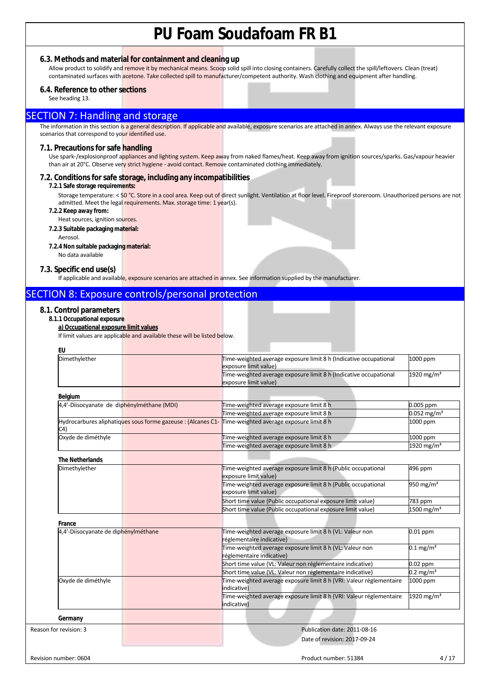## **6.3. Methods and material for containment and cleaning up**

Allow product to solidify and remove it by mechanical means. Scoop solid spill into closing containers. Carefully collect the spill/leftovers. Clean (treat) contaminated surfaces with acetone. Take collected spill to manufacturer/competent authority. Wash clothing and equipment after handling.

## **6.4. Reference to other sections**

See heading 13.

## SECTION 7: Handling and storage

The information in this section is a general description. If applicable and available, exposure scenarios are attached in annex. Always use the relevant exposure scenarios that correspond to your identified use.

### **7.1. Precautions for safe handling**

Use spark-/explosionproof appliances and lighting system. Keep away from naked flames/heat. Keep away from ignition sources/sparks. Gas/vapour heavier than air at 20°C. Observe very strict hygiene - avoid contact. Remove contaminated clothing immediately.

## **7.2. Conditions for safe storage, including any incompatibilities**

#### **7.2.1 Safe storage requirements:**

Storage temperature: < 50 °C. Store in a cool area. Keep out of direct sunlight. Ventilation at floor level. Fireproof storeroom. Unauthorized persons are not admitted. Meet the legal requirements. Max. storage time: 1 year(s).

- **7.2.2 Keep away from:**
- Heat sources, ignition sources.
- **7.2.3 Suitable packaging material:**  Aerosol.
- **7.2.4 Non suitable packaging material:**
- No data available

### **7.3. Specific end use(s)**

If applicable and available, exposure scenarios are attached in annex. See information supplied by the manufacturer.

## SECTION 8: Exposure controls/personal protection

## **8.1. Control parameters**

**8.1.1 Occupational exposure** 

## **a) Occupational exposure limit values**

If limit values are applicable and available these will be listed below.

| Dimethylether                              | Time-weighted average exposure limit 8 h (Indicative occupational<br>exposure limit value)            | 1000 ppm                  |
|--------------------------------------------|-------------------------------------------------------------------------------------------------------|---------------------------|
|                                            | Time-weighted average exposure limit 8 h (Indicative occupational<br>exposure limit value)            | 1920 mg/m $3$             |
| Belgium                                    |                                                                                                       |                           |
| 4,4'-Diisocyanate de diphénylméthane (MDI) | Time-weighted average exposure limit 8 h                                                              | 0.005 ppm                 |
|                                            | Time-weighted average exposure limit 8 h                                                              | $0.052$ mg/m <sup>3</sup> |
| C4)                                        | Hydrocarbures aliphatiques sous forme gazeuse : (Alcanes C1- Time-weighted average exposure limit 8 h | 1000 ppm                  |
| Oxyde de diméthyle                         | Time-weighted average exposure limit 8 h                                                              | 1000 ppm                  |
|                                            | Time-weighted average exposure limit 8 h                                                              | 1920 mg/m <sup>3</sup>    |
| <b>The Netherlands</b>                     |                                                                                                       |                           |
| Dimethylether                              | Time-weighted average exposure limit 8 h (Public occupational<br>exposure limit value)                | 496 ppm                   |
|                                            | Time-weighted average exposure limit 8 h (Public occupational<br>exposure limit value)                | 950 mg/m <sup>3</sup>     |
|                                            | Short time value (Public occupational exposure limit value)                                           | 783 ppm                   |
|                                            | Short time value (Public occupational exposure limit value)                                           | $1500 \,\mathrm{mg/m^3}$  |
| France                                     |                                                                                                       |                           |
| 4,4'-Diisocyanate de diphénylméthane       | Time-weighted average exposure limit 8 h (VL: Valeur non<br>réglementaire indicative)                 | $0.01$ ppm                |
|                                            | Time-weighted average exposure limit 8 h (VL: Valeur non<br>réglementaire indicative)                 | $0.1 \,\mathrm{mg/m^3}$   |
|                                            | Short time value (VL: Valeur non réglementaire indicative)                                            | 0.02 ppm                  |
|                                            | Short time value (VL: Valeur non réglementaire indicative)                                            | $0.2 \text{ mg/m}^3$      |
| Oxyde de diméthyle                         | Time-weighted average exposure limit 8 h (VRI: Valeur réglementaire<br>indicative)                    | 1000 ppm                  |
|                                            | Time-weighted average exposure limit 8 h (VRI: Valeur réglementaire<br>indicative)                    | 1920 mg/m <sup>3</sup>    |
| Germany                                    |                                                                                                       |                           |
| Reason for revision: 3                     | Publication date: 2011-08-16                                                                          |                           |
|                                            | Date of revision: 2017-09-24                                                                          |                           |
|                                            |                                                                                                       |                           |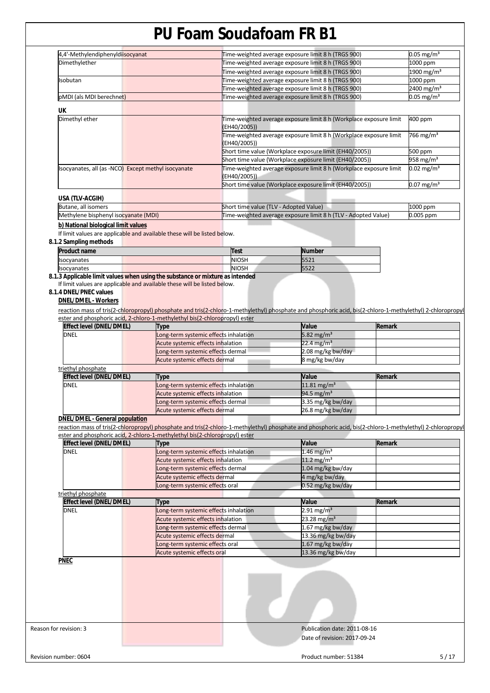| Dimethylether<br>Time-weighted average exposure limit 8 h (TRGS 900)<br>1900 mg/m <sup>3</sup><br>Time-weighted average exposure limit 8 h (TRGS 900)<br>Time-weighted average exposure limit 8 h (TRGS 900)<br>1000 ppm<br>Isobutan<br>2400 mg/m <sup>3</sup><br>Time-weighted average exposure limit 8 h (TRGS 900)<br>$0.05 \,\mathrm{mg/m^3}$<br>Time-weighted average exposure limit 8 h (TRGS 900)<br>pMDI (als MDI berechnet)<br>UK<br>Dimethyl ether<br>400 ppm<br>Time-weighted average exposure limit 8 h (Workplace exposure limit<br>(EH40/2005))<br>766 mg/m <sup>3</sup><br>Time-weighted average exposure limit 8 h (Workplace exposure limit<br>(EH40/2005))<br>Short time value (Workplace exposure limit (EH40/2005))<br>500 ppm<br>Short time value (Workplace exposure limit (EH40/2005))<br>958 mg/m <sup>3</sup><br>Isocyanates, all (as -NCO) Except methyl isocyanate<br>Time-weighted average exposure limit 8 h (Workplace exposure limit<br>$0.02 \text{ mg/m}^3$<br>(EH40/2005))<br>Short time value (Workplace exposure limit (EH40/2005))<br>$0.07$ mg/m <sup>3</sup><br>USA (TLV-ACGIH)<br>Butane, all isomers<br>Short time value (TLV - Adopted Value)<br>1000 ppm<br>Time-weighted average exposure limit 8 h (TLV - Adopted Value)<br>0.005 ppm<br>Methylene bisphenyl isocyanate (MDI)<br>b) National biological limit values<br>If limit values are applicable and available these will be listed below.<br><b>Product name</b><br><b>Test</b><br><b>Number</b><br>NIOSH<br>5521<br>Isocyanates<br><b>NIOSH</b><br>5522<br>Isocyanates<br>If limit values are applicable and available these will be listed below.<br><b>DNEL/DMEL - Workers</b><br>reaction mass of tris(2-chloropropyl) phosphate and tris(2-chloro-1-methylethyl) phosphate and phosphoric acid, bis(2-chloro-1-methylethyl) 2-chloropropyl<br>ester and phosphoric acid, 2-chloro-1-methylethyl bis(2-chloropropyl) ester<br><b>Effect level (DNEL/DMEL)</b><br>Value<br>Remark<br>Type<br>5.82 mg/m <sup>3</sup><br><b>DNEL</b><br>Long-term systemic effects inhalation<br>22.4 mg/m <sup>3</sup><br>Acute systemic effects inhalation<br>2.08 mg/kg bw/day<br>Long-term systemic effects dermal<br>Acute systemic effects dermal<br>8 mg/kg bw/day<br>triethyl phosphate<br>Effect level (DNEL/DMEL)<br>Remark<br>Value<br>Type<br>11.81 mg/m <sup>3</sup><br><b>DNEL</b><br>Long-term systemic effects inhalation<br>94.5 mg/m <sup>3</sup><br>Acute systemic effects inhalation<br>3.35 mg/kg bw/day<br>Long-term systemic effects dermal<br>26.8 mg/kg bw/day<br>Acute systemic effects dermal<br><b>DNEL/DMEL - General population</b><br>reaction mass of tris(2-chloropropyl) phosphate and tris(2-chloro-1-methylethyl) phosphate and phosphoric acid, bis(2-chloro-1-methylethyl) 2-chloropropyl<br>ester and phosphoric acid, 2-chloro-1-methylethyl bis(2-chloropropyl) ester<br>Value<br>Remark<br><b>Effect level (DNEL/DMEL)</b><br>Type<br><b>DNEL</b><br>1.46 mg/m <sup>3</sup><br>Long-term systemic effects inhalation<br>Acute systemic effects inhalation<br>11.2 mg/m <sup>3</sup><br>Long-term systemic effects dermal<br>1.04 mg/kg bw/day<br>Acute systemic effects dermal<br>4 mg/kg bw/day<br>0.52 mg/kg bw/day<br>Long-term systemic effects oral<br>triethyl phosphate<br><b>Effect level (DNEL/DMEL)</b><br>Remark<br>Value<br>Type<br>$2.91 \,\mathrm{mg/m^3}$<br><b>DNEL</b><br>Long-term systemic effects inhalation<br>23.28 mg/m <sup>3</sup><br>Acute systemic effects inhalation<br>Long-term systemic effects dermal<br>1.67 mg/kg bw/day<br>Acute systemic effects dermal<br>13.36 mg/kg bw/day<br>1.67 mg/kg bw/day<br>Long-term systemic effects oral<br>Acute systemic effects oral<br>13.36 mg/kg bw/day<br><b>PNEC</b><br>Publication date: 2011-08-16<br>Date of revision: 2017-09-24 | 8.1.2 Sampling methods<br>8.1.3 Applicable limit values when using the substance or mixture as intended<br>8.1.4 DNEL/PNEC values | 4,4'-Methylendiphenyldisocyanat |  |  | Time-weighted average exposure limit 8 h (TRGS 900) | $0.05 \text{ mg/m}^3$<br>1000 ppm |
|----------------------------------------------------------------------------------------------------------------------------------------------------------------------------------------------------------------------------------------------------------------------------------------------------------------------------------------------------------------------------------------------------------------------------------------------------------------------------------------------------------------------------------------------------------------------------------------------------------------------------------------------------------------------------------------------------------------------------------------------------------------------------------------------------------------------------------------------------------------------------------------------------------------------------------------------------------------------------------------------------------------------------------------------------------------------------------------------------------------------------------------------------------------------------------------------------------------------------------------------------------------------------------------------------------------------------------------------------------------------------------------------------------------------------------------------------------------------------------------------------------------------------------------------------------------------------------------------------------------------------------------------------------------------------------------------------------------------------------------------------------------------------------------------------------------------------------------------------------------------------------------------------------------------------------------------------------------------------------------------------------------------------------------------------------------------------------------------------------------------------------------------------------------------------------------------------------------------------------------------------------------------------------------------------------------------------------------------------------------------------------------------------------------------------------------------------------------------------------------------------------------------------------------------------------------------------------------------------------------------------------------------------------------------------------------------------------------------------------------------------------------------------------------------------------------------------------------------------------------------------------------------------------------------------------------------------------------------------------------------------------------------------------------------------------------------------------------------------------------------------------------------------------------------------------------------------------------------------------------------------------------------------------------------------------------------------------------------------------------------------------------------------------------------------------------------------------------------------------------------------------------------------------------------------------------------------------------------------------------------------------------------------------------------------------------------------------------------------------------------------------------------------------------------------------------------------------------------|-----------------------------------------------------------------------------------------------------------------------------------|---------------------------------|--|--|-----------------------------------------------------|-----------------------------------|
|                                                                                                                                                                                                                                                                                                                                                                                                                                                                                                                                                                                                                                                                                                                                                                                                                                                                                                                                                                                                                                                                                                                                                                                                                                                                                                                                                                                                                                                                                                                                                                                                                                                                                                                                                                                                                                                                                                                                                                                                                                                                                                                                                                                                                                                                                                                                                                                                                                                                                                                                                                                                                                                                                                                                                                                                                                                                                                                                                                                                                                                                                                                                                                                                                                                                                                                                                                                                                                                                                                                                                                                                                                                                                                                                                                                                                                              |                                                                                                                                   |                                 |  |  |                                                     |                                   |
|                                                                                                                                                                                                                                                                                                                                                                                                                                                                                                                                                                                                                                                                                                                                                                                                                                                                                                                                                                                                                                                                                                                                                                                                                                                                                                                                                                                                                                                                                                                                                                                                                                                                                                                                                                                                                                                                                                                                                                                                                                                                                                                                                                                                                                                                                                                                                                                                                                                                                                                                                                                                                                                                                                                                                                                                                                                                                                                                                                                                                                                                                                                                                                                                                                                                                                                                                                                                                                                                                                                                                                                                                                                                                                                                                                                                                                              |                                                                                                                                   |                                 |  |  |                                                     |                                   |
|                                                                                                                                                                                                                                                                                                                                                                                                                                                                                                                                                                                                                                                                                                                                                                                                                                                                                                                                                                                                                                                                                                                                                                                                                                                                                                                                                                                                                                                                                                                                                                                                                                                                                                                                                                                                                                                                                                                                                                                                                                                                                                                                                                                                                                                                                                                                                                                                                                                                                                                                                                                                                                                                                                                                                                                                                                                                                                                                                                                                                                                                                                                                                                                                                                                                                                                                                                                                                                                                                                                                                                                                                                                                                                                                                                                                                                              |                                                                                                                                   |                                 |  |  |                                                     |                                   |
|                                                                                                                                                                                                                                                                                                                                                                                                                                                                                                                                                                                                                                                                                                                                                                                                                                                                                                                                                                                                                                                                                                                                                                                                                                                                                                                                                                                                                                                                                                                                                                                                                                                                                                                                                                                                                                                                                                                                                                                                                                                                                                                                                                                                                                                                                                                                                                                                                                                                                                                                                                                                                                                                                                                                                                                                                                                                                                                                                                                                                                                                                                                                                                                                                                                                                                                                                                                                                                                                                                                                                                                                                                                                                                                                                                                                                                              |                                                                                                                                   |                                 |  |  |                                                     |                                   |
|                                                                                                                                                                                                                                                                                                                                                                                                                                                                                                                                                                                                                                                                                                                                                                                                                                                                                                                                                                                                                                                                                                                                                                                                                                                                                                                                                                                                                                                                                                                                                                                                                                                                                                                                                                                                                                                                                                                                                                                                                                                                                                                                                                                                                                                                                                                                                                                                                                                                                                                                                                                                                                                                                                                                                                                                                                                                                                                                                                                                                                                                                                                                                                                                                                                                                                                                                                                                                                                                                                                                                                                                                                                                                                                                                                                                                                              |                                                                                                                                   |                                 |  |  |                                                     |                                   |
|                                                                                                                                                                                                                                                                                                                                                                                                                                                                                                                                                                                                                                                                                                                                                                                                                                                                                                                                                                                                                                                                                                                                                                                                                                                                                                                                                                                                                                                                                                                                                                                                                                                                                                                                                                                                                                                                                                                                                                                                                                                                                                                                                                                                                                                                                                                                                                                                                                                                                                                                                                                                                                                                                                                                                                                                                                                                                                                                                                                                                                                                                                                                                                                                                                                                                                                                                                                                                                                                                                                                                                                                                                                                                                                                                                                                                                              |                                                                                                                                   |                                 |  |  |                                                     |                                   |
|                                                                                                                                                                                                                                                                                                                                                                                                                                                                                                                                                                                                                                                                                                                                                                                                                                                                                                                                                                                                                                                                                                                                                                                                                                                                                                                                                                                                                                                                                                                                                                                                                                                                                                                                                                                                                                                                                                                                                                                                                                                                                                                                                                                                                                                                                                                                                                                                                                                                                                                                                                                                                                                                                                                                                                                                                                                                                                                                                                                                                                                                                                                                                                                                                                                                                                                                                                                                                                                                                                                                                                                                                                                                                                                                                                                                                                              |                                                                                                                                   |                                 |  |  |                                                     |                                   |
|                                                                                                                                                                                                                                                                                                                                                                                                                                                                                                                                                                                                                                                                                                                                                                                                                                                                                                                                                                                                                                                                                                                                                                                                                                                                                                                                                                                                                                                                                                                                                                                                                                                                                                                                                                                                                                                                                                                                                                                                                                                                                                                                                                                                                                                                                                                                                                                                                                                                                                                                                                                                                                                                                                                                                                                                                                                                                                                                                                                                                                                                                                                                                                                                                                                                                                                                                                                                                                                                                                                                                                                                                                                                                                                                                                                                                                              |                                                                                                                                   |                                 |  |  |                                                     |                                   |
|                                                                                                                                                                                                                                                                                                                                                                                                                                                                                                                                                                                                                                                                                                                                                                                                                                                                                                                                                                                                                                                                                                                                                                                                                                                                                                                                                                                                                                                                                                                                                                                                                                                                                                                                                                                                                                                                                                                                                                                                                                                                                                                                                                                                                                                                                                                                                                                                                                                                                                                                                                                                                                                                                                                                                                                                                                                                                                                                                                                                                                                                                                                                                                                                                                                                                                                                                                                                                                                                                                                                                                                                                                                                                                                                                                                                                                              |                                                                                                                                   |                                 |  |  |                                                     |                                   |
|                                                                                                                                                                                                                                                                                                                                                                                                                                                                                                                                                                                                                                                                                                                                                                                                                                                                                                                                                                                                                                                                                                                                                                                                                                                                                                                                                                                                                                                                                                                                                                                                                                                                                                                                                                                                                                                                                                                                                                                                                                                                                                                                                                                                                                                                                                                                                                                                                                                                                                                                                                                                                                                                                                                                                                                                                                                                                                                                                                                                                                                                                                                                                                                                                                                                                                                                                                                                                                                                                                                                                                                                                                                                                                                                                                                                                                              |                                                                                                                                   |                                 |  |  |                                                     |                                   |
|                                                                                                                                                                                                                                                                                                                                                                                                                                                                                                                                                                                                                                                                                                                                                                                                                                                                                                                                                                                                                                                                                                                                                                                                                                                                                                                                                                                                                                                                                                                                                                                                                                                                                                                                                                                                                                                                                                                                                                                                                                                                                                                                                                                                                                                                                                                                                                                                                                                                                                                                                                                                                                                                                                                                                                                                                                                                                                                                                                                                                                                                                                                                                                                                                                                                                                                                                                                                                                                                                                                                                                                                                                                                                                                                                                                                                                              |                                                                                                                                   |                                 |  |  |                                                     |                                   |
|                                                                                                                                                                                                                                                                                                                                                                                                                                                                                                                                                                                                                                                                                                                                                                                                                                                                                                                                                                                                                                                                                                                                                                                                                                                                                                                                                                                                                                                                                                                                                                                                                                                                                                                                                                                                                                                                                                                                                                                                                                                                                                                                                                                                                                                                                                                                                                                                                                                                                                                                                                                                                                                                                                                                                                                                                                                                                                                                                                                                                                                                                                                                                                                                                                                                                                                                                                                                                                                                                                                                                                                                                                                                                                                                                                                                                                              |                                                                                                                                   |                                 |  |  |                                                     |                                   |
|                                                                                                                                                                                                                                                                                                                                                                                                                                                                                                                                                                                                                                                                                                                                                                                                                                                                                                                                                                                                                                                                                                                                                                                                                                                                                                                                                                                                                                                                                                                                                                                                                                                                                                                                                                                                                                                                                                                                                                                                                                                                                                                                                                                                                                                                                                                                                                                                                                                                                                                                                                                                                                                                                                                                                                                                                                                                                                                                                                                                                                                                                                                                                                                                                                                                                                                                                                                                                                                                                                                                                                                                                                                                                                                                                                                                                                              |                                                                                                                                   |                                 |  |  |                                                     |                                   |
|                                                                                                                                                                                                                                                                                                                                                                                                                                                                                                                                                                                                                                                                                                                                                                                                                                                                                                                                                                                                                                                                                                                                                                                                                                                                                                                                                                                                                                                                                                                                                                                                                                                                                                                                                                                                                                                                                                                                                                                                                                                                                                                                                                                                                                                                                                                                                                                                                                                                                                                                                                                                                                                                                                                                                                                                                                                                                                                                                                                                                                                                                                                                                                                                                                                                                                                                                                                                                                                                                                                                                                                                                                                                                                                                                                                                                                              |                                                                                                                                   |                                 |  |  |                                                     |                                   |
|                                                                                                                                                                                                                                                                                                                                                                                                                                                                                                                                                                                                                                                                                                                                                                                                                                                                                                                                                                                                                                                                                                                                                                                                                                                                                                                                                                                                                                                                                                                                                                                                                                                                                                                                                                                                                                                                                                                                                                                                                                                                                                                                                                                                                                                                                                                                                                                                                                                                                                                                                                                                                                                                                                                                                                                                                                                                                                                                                                                                                                                                                                                                                                                                                                                                                                                                                                                                                                                                                                                                                                                                                                                                                                                                                                                                                                              |                                                                                                                                   |                                 |  |  |                                                     |                                   |
|                                                                                                                                                                                                                                                                                                                                                                                                                                                                                                                                                                                                                                                                                                                                                                                                                                                                                                                                                                                                                                                                                                                                                                                                                                                                                                                                                                                                                                                                                                                                                                                                                                                                                                                                                                                                                                                                                                                                                                                                                                                                                                                                                                                                                                                                                                                                                                                                                                                                                                                                                                                                                                                                                                                                                                                                                                                                                                                                                                                                                                                                                                                                                                                                                                                                                                                                                                                                                                                                                                                                                                                                                                                                                                                                                                                                                                              |                                                                                                                                   |                                 |  |  |                                                     |                                   |
|                                                                                                                                                                                                                                                                                                                                                                                                                                                                                                                                                                                                                                                                                                                                                                                                                                                                                                                                                                                                                                                                                                                                                                                                                                                                                                                                                                                                                                                                                                                                                                                                                                                                                                                                                                                                                                                                                                                                                                                                                                                                                                                                                                                                                                                                                                                                                                                                                                                                                                                                                                                                                                                                                                                                                                                                                                                                                                                                                                                                                                                                                                                                                                                                                                                                                                                                                                                                                                                                                                                                                                                                                                                                                                                                                                                                                                              |                                                                                                                                   |                                 |  |  |                                                     |                                   |
|                                                                                                                                                                                                                                                                                                                                                                                                                                                                                                                                                                                                                                                                                                                                                                                                                                                                                                                                                                                                                                                                                                                                                                                                                                                                                                                                                                                                                                                                                                                                                                                                                                                                                                                                                                                                                                                                                                                                                                                                                                                                                                                                                                                                                                                                                                                                                                                                                                                                                                                                                                                                                                                                                                                                                                                                                                                                                                                                                                                                                                                                                                                                                                                                                                                                                                                                                                                                                                                                                                                                                                                                                                                                                                                                                                                                                                              |                                                                                                                                   |                                 |  |  |                                                     |                                   |
|                                                                                                                                                                                                                                                                                                                                                                                                                                                                                                                                                                                                                                                                                                                                                                                                                                                                                                                                                                                                                                                                                                                                                                                                                                                                                                                                                                                                                                                                                                                                                                                                                                                                                                                                                                                                                                                                                                                                                                                                                                                                                                                                                                                                                                                                                                                                                                                                                                                                                                                                                                                                                                                                                                                                                                                                                                                                                                                                                                                                                                                                                                                                                                                                                                                                                                                                                                                                                                                                                                                                                                                                                                                                                                                                                                                                                                              |                                                                                                                                   |                                 |  |  |                                                     |                                   |
|                                                                                                                                                                                                                                                                                                                                                                                                                                                                                                                                                                                                                                                                                                                                                                                                                                                                                                                                                                                                                                                                                                                                                                                                                                                                                                                                                                                                                                                                                                                                                                                                                                                                                                                                                                                                                                                                                                                                                                                                                                                                                                                                                                                                                                                                                                                                                                                                                                                                                                                                                                                                                                                                                                                                                                                                                                                                                                                                                                                                                                                                                                                                                                                                                                                                                                                                                                                                                                                                                                                                                                                                                                                                                                                                                                                                                                              |                                                                                                                                   |                                 |  |  |                                                     |                                   |
|                                                                                                                                                                                                                                                                                                                                                                                                                                                                                                                                                                                                                                                                                                                                                                                                                                                                                                                                                                                                                                                                                                                                                                                                                                                                                                                                                                                                                                                                                                                                                                                                                                                                                                                                                                                                                                                                                                                                                                                                                                                                                                                                                                                                                                                                                                                                                                                                                                                                                                                                                                                                                                                                                                                                                                                                                                                                                                                                                                                                                                                                                                                                                                                                                                                                                                                                                                                                                                                                                                                                                                                                                                                                                                                                                                                                                                              |                                                                                                                                   |                                 |  |  |                                                     |                                   |
|                                                                                                                                                                                                                                                                                                                                                                                                                                                                                                                                                                                                                                                                                                                                                                                                                                                                                                                                                                                                                                                                                                                                                                                                                                                                                                                                                                                                                                                                                                                                                                                                                                                                                                                                                                                                                                                                                                                                                                                                                                                                                                                                                                                                                                                                                                                                                                                                                                                                                                                                                                                                                                                                                                                                                                                                                                                                                                                                                                                                                                                                                                                                                                                                                                                                                                                                                                                                                                                                                                                                                                                                                                                                                                                                                                                                                                              |                                                                                                                                   |                                 |  |  |                                                     |                                   |
|                                                                                                                                                                                                                                                                                                                                                                                                                                                                                                                                                                                                                                                                                                                                                                                                                                                                                                                                                                                                                                                                                                                                                                                                                                                                                                                                                                                                                                                                                                                                                                                                                                                                                                                                                                                                                                                                                                                                                                                                                                                                                                                                                                                                                                                                                                                                                                                                                                                                                                                                                                                                                                                                                                                                                                                                                                                                                                                                                                                                                                                                                                                                                                                                                                                                                                                                                                                                                                                                                                                                                                                                                                                                                                                                                                                                                                              |                                                                                                                                   |                                 |  |  |                                                     |                                   |
|                                                                                                                                                                                                                                                                                                                                                                                                                                                                                                                                                                                                                                                                                                                                                                                                                                                                                                                                                                                                                                                                                                                                                                                                                                                                                                                                                                                                                                                                                                                                                                                                                                                                                                                                                                                                                                                                                                                                                                                                                                                                                                                                                                                                                                                                                                                                                                                                                                                                                                                                                                                                                                                                                                                                                                                                                                                                                                                                                                                                                                                                                                                                                                                                                                                                                                                                                                                                                                                                                                                                                                                                                                                                                                                                                                                                                                              |                                                                                                                                   |                                 |  |  |                                                     |                                   |
|                                                                                                                                                                                                                                                                                                                                                                                                                                                                                                                                                                                                                                                                                                                                                                                                                                                                                                                                                                                                                                                                                                                                                                                                                                                                                                                                                                                                                                                                                                                                                                                                                                                                                                                                                                                                                                                                                                                                                                                                                                                                                                                                                                                                                                                                                                                                                                                                                                                                                                                                                                                                                                                                                                                                                                                                                                                                                                                                                                                                                                                                                                                                                                                                                                                                                                                                                                                                                                                                                                                                                                                                                                                                                                                                                                                                                                              |                                                                                                                                   |                                 |  |  |                                                     |                                   |
|                                                                                                                                                                                                                                                                                                                                                                                                                                                                                                                                                                                                                                                                                                                                                                                                                                                                                                                                                                                                                                                                                                                                                                                                                                                                                                                                                                                                                                                                                                                                                                                                                                                                                                                                                                                                                                                                                                                                                                                                                                                                                                                                                                                                                                                                                                                                                                                                                                                                                                                                                                                                                                                                                                                                                                                                                                                                                                                                                                                                                                                                                                                                                                                                                                                                                                                                                                                                                                                                                                                                                                                                                                                                                                                                                                                                                                              |                                                                                                                                   |                                 |  |  |                                                     |                                   |
|                                                                                                                                                                                                                                                                                                                                                                                                                                                                                                                                                                                                                                                                                                                                                                                                                                                                                                                                                                                                                                                                                                                                                                                                                                                                                                                                                                                                                                                                                                                                                                                                                                                                                                                                                                                                                                                                                                                                                                                                                                                                                                                                                                                                                                                                                                                                                                                                                                                                                                                                                                                                                                                                                                                                                                                                                                                                                                                                                                                                                                                                                                                                                                                                                                                                                                                                                                                                                                                                                                                                                                                                                                                                                                                                                                                                                                              |                                                                                                                                   |                                 |  |  |                                                     |                                   |
|                                                                                                                                                                                                                                                                                                                                                                                                                                                                                                                                                                                                                                                                                                                                                                                                                                                                                                                                                                                                                                                                                                                                                                                                                                                                                                                                                                                                                                                                                                                                                                                                                                                                                                                                                                                                                                                                                                                                                                                                                                                                                                                                                                                                                                                                                                                                                                                                                                                                                                                                                                                                                                                                                                                                                                                                                                                                                                                                                                                                                                                                                                                                                                                                                                                                                                                                                                                                                                                                                                                                                                                                                                                                                                                                                                                                                                              |                                                                                                                                   |                                 |  |  |                                                     |                                   |
|                                                                                                                                                                                                                                                                                                                                                                                                                                                                                                                                                                                                                                                                                                                                                                                                                                                                                                                                                                                                                                                                                                                                                                                                                                                                                                                                                                                                                                                                                                                                                                                                                                                                                                                                                                                                                                                                                                                                                                                                                                                                                                                                                                                                                                                                                                                                                                                                                                                                                                                                                                                                                                                                                                                                                                                                                                                                                                                                                                                                                                                                                                                                                                                                                                                                                                                                                                                                                                                                                                                                                                                                                                                                                                                                                                                                                                              |                                                                                                                                   |                                 |  |  |                                                     |                                   |
|                                                                                                                                                                                                                                                                                                                                                                                                                                                                                                                                                                                                                                                                                                                                                                                                                                                                                                                                                                                                                                                                                                                                                                                                                                                                                                                                                                                                                                                                                                                                                                                                                                                                                                                                                                                                                                                                                                                                                                                                                                                                                                                                                                                                                                                                                                                                                                                                                                                                                                                                                                                                                                                                                                                                                                                                                                                                                                                                                                                                                                                                                                                                                                                                                                                                                                                                                                                                                                                                                                                                                                                                                                                                                                                                                                                                                                              |                                                                                                                                   |                                 |  |  |                                                     |                                   |
|                                                                                                                                                                                                                                                                                                                                                                                                                                                                                                                                                                                                                                                                                                                                                                                                                                                                                                                                                                                                                                                                                                                                                                                                                                                                                                                                                                                                                                                                                                                                                                                                                                                                                                                                                                                                                                                                                                                                                                                                                                                                                                                                                                                                                                                                                                                                                                                                                                                                                                                                                                                                                                                                                                                                                                                                                                                                                                                                                                                                                                                                                                                                                                                                                                                                                                                                                                                                                                                                                                                                                                                                                                                                                                                                                                                                                                              |                                                                                                                                   |                                 |  |  |                                                     |                                   |
|                                                                                                                                                                                                                                                                                                                                                                                                                                                                                                                                                                                                                                                                                                                                                                                                                                                                                                                                                                                                                                                                                                                                                                                                                                                                                                                                                                                                                                                                                                                                                                                                                                                                                                                                                                                                                                                                                                                                                                                                                                                                                                                                                                                                                                                                                                                                                                                                                                                                                                                                                                                                                                                                                                                                                                                                                                                                                                                                                                                                                                                                                                                                                                                                                                                                                                                                                                                                                                                                                                                                                                                                                                                                                                                                                                                                                                              |                                                                                                                                   |                                 |  |  |                                                     |                                   |
|                                                                                                                                                                                                                                                                                                                                                                                                                                                                                                                                                                                                                                                                                                                                                                                                                                                                                                                                                                                                                                                                                                                                                                                                                                                                                                                                                                                                                                                                                                                                                                                                                                                                                                                                                                                                                                                                                                                                                                                                                                                                                                                                                                                                                                                                                                                                                                                                                                                                                                                                                                                                                                                                                                                                                                                                                                                                                                                                                                                                                                                                                                                                                                                                                                                                                                                                                                                                                                                                                                                                                                                                                                                                                                                                                                                                                                              |                                                                                                                                   |                                 |  |  |                                                     |                                   |
|                                                                                                                                                                                                                                                                                                                                                                                                                                                                                                                                                                                                                                                                                                                                                                                                                                                                                                                                                                                                                                                                                                                                                                                                                                                                                                                                                                                                                                                                                                                                                                                                                                                                                                                                                                                                                                                                                                                                                                                                                                                                                                                                                                                                                                                                                                                                                                                                                                                                                                                                                                                                                                                                                                                                                                                                                                                                                                                                                                                                                                                                                                                                                                                                                                                                                                                                                                                                                                                                                                                                                                                                                                                                                                                                                                                                                                              |                                                                                                                                   |                                 |  |  |                                                     |                                   |
|                                                                                                                                                                                                                                                                                                                                                                                                                                                                                                                                                                                                                                                                                                                                                                                                                                                                                                                                                                                                                                                                                                                                                                                                                                                                                                                                                                                                                                                                                                                                                                                                                                                                                                                                                                                                                                                                                                                                                                                                                                                                                                                                                                                                                                                                                                                                                                                                                                                                                                                                                                                                                                                                                                                                                                                                                                                                                                                                                                                                                                                                                                                                                                                                                                                                                                                                                                                                                                                                                                                                                                                                                                                                                                                                                                                                                                              |                                                                                                                                   |                                 |  |  |                                                     |                                   |
|                                                                                                                                                                                                                                                                                                                                                                                                                                                                                                                                                                                                                                                                                                                                                                                                                                                                                                                                                                                                                                                                                                                                                                                                                                                                                                                                                                                                                                                                                                                                                                                                                                                                                                                                                                                                                                                                                                                                                                                                                                                                                                                                                                                                                                                                                                                                                                                                                                                                                                                                                                                                                                                                                                                                                                                                                                                                                                                                                                                                                                                                                                                                                                                                                                                                                                                                                                                                                                                                                                                                                                                                                                                                                                                                                                                                                                              |                                                                                                                                   |                                 |  |  |                                                     |                                   |
|                                                                                                                                                                                                                                                                                                                                                                                                                                                                                                                                                                                                                                                                                                                                                                                                                                                                                                                                                                                                                                                                                                                                                                                                                                                                                                                                                                                                                                                                                                                                                                                                                                                                                                                                                                                                                                                                                                                                                                                                                                                                                                                                                                                                                                                                                                                                                                                                                                                                                                                                                                                                                                                                                                                                                                                                                                                                                                                                                                                                                                                                                                                                                                                                                                                                                                                                                                                                                                                                                                                                                                                                                                                                                                                                                                                                                                              |                                                                                                                                   |                                 |  |  |                                                     |                                   |
|                                                                                                                                                                                                                                                                                                                                                                                                                                                                                                                                                                                                                                                                                                                                                                                                                                                                                                                                                                                                                                                                                                                                                                                                                                                                                                                                                                                                                                                                                                                                                                                                                                                                                                                                                                                                                                                                                                                                                                                                                                                                                                                                                                                                                                                                                                                                                                                                                                                                                                                                                                                                                                                                                                                                                                                                                                                                                                                                                                                                                                                                                                                                                                                                                                                                                                                                                                                                                                                                                                                                                                                                                                                                                                                                                                                                                                              |                                                                                                                                   |                                 |  |  |                                                     |                                   |
|                                                                                                                                                                                                                                                                                                                                                                                                                                                                                                                                                                                                                                                                                                                                                                                                                                                                                                                                                                                                                                                                                                                                                                                                                                                                                                                                                                                                                                                                                                                                                                                                                                                                                                                                                                                                                                                                                                                                                                                                                                                                                                                                                                                                                                                                                                                                                                                                                                                                                                                                                                                                                                                                                                                                                                                                                                                                                                                                                                                                                                                                                                                                                                                                                                                                                                                                                                                                                                                                                                                                                                                                                                                                                                                                                                                                                                              |                                                                                                                                   |                                 |  |  |                                                     |                                   |
|                                                                                                                                                                                                                                                                                                                                                                                                                                                                                                                                                                                                                                                                                                                                                                                                                                                                                                                                                                                                                                                                                                                                                                                                                                                                                                                                                                                                                                                                                                                                                                                                                                                                                                                                                                                                                                                                                                                                                                                                                                                                                                                                                                                                                                                                                                                                                                                                                                                                                                                                                                                                                                                                                                                                                                                                                                                                                                                                                                                                                                                                                                                                                                                                                                                                                                                                                                                                                                                                                                                                                                                                                                                                                                                                                                                                                                              |                                                                                                                                   |                                 |  |  |                                                     |                                   |
|                                                                                                                                                                                                                                                                                                                                                                                                                                                                                                                                                                                                                                                                                                                                                                                                                                                                                                                                                                                                                                                                                                                                                                                                                                                                                                                                                                                                                                                                                                                                                                                                                                                                                                                                                                                                                                                                                                                                                                                                                                                                                                                                                                                                                                                                                                                                                                                                                                                                                                                                                                                                                                                                                                                                                                                                                                                                                                                                                                                                                                                                                                                                                                                                                                                                                                                                                                                                                                                                                                                                                                                                                                                                                                                                                                                                                                              |                                                                                                                                   |                                 |  |  |                                                     |                                   |
|                                                                                                                                                                                                                                                                                                                                                                                                                                                                                                                                                                                                                                                                                                                                                                                                                                                                                                                                                                                                                                                                                                                                                                                                                                                                                                                                                                                                                                                                                                                                                                                                                                                                                                                                                                                                                                                                                                                                                                                                                                                                                                                                                                                                                                                                                                                                                                                                                                                                                                                                                                                                                                                                                                                                                                                                                                                                                                                                                                                                                                                                                                                                                                                                                                                                                                                                                                                                                                                                                                                                                                                                                                                                                                                                                                                                                                              |                                                                                                                                   |                                 |  |  |                                                     |                                   |
|                                                                                                                                                                                                                                                                                                                                                                                                                                                                                                                                                                                                                                                                                                                                                                                                                                                                                                                                                                                                                                                                                                                                                                                                                                                                                                                                                                                                                                                                                                                                                                                                                                                                                                                                                                                                                                                                                                                                                                                                                                                                                                                                                                                                                                                                                                                                                                                                                                                                                                                                                                                                                                                                                                                                                                                                                                                                                                                                                                                                                                                                                                                                                                                                                                                                                                                                                                                                                                                                                                                                                                                                                                                                                                                                                                                                                                              |                                                                                                                                   |                                 |  |  |                                                     |                                   |
|                                                                                                                                                                                                                                                                                                                                                                                                                                                                                                                                                                                                                                                                                                                                                                                                                                                                                                                                                                                                                                                                                                                                                                                                                                                                                                                                                                                                                                                                                                                                                                                                                                                                                                                                                                                                                                                                                                                                                                                                                                                                                                                                                                                                                                                                                                                                                                                                                                                                                                                                                                                                                                                                                                                                                                                                                                                                                                                                                                                                                                                                                                                                                                                                                                                                                                                                                                                                                                                                                                                                                                                                                                                                                                                                                                                                                                              |                                                                                                                                   |                                 |  |  |                                                     |                                   |
|                                                                                                                                                                                                                                                                                                                                                                                                                                                                                                                                                                                                                                                                                                                                                                                                                                                                                                                                                                                                                                                                                                                                                                                                                                                                                                                                                                                                                                                                                                                                                                                                                                                                                                                                                                                                                                                                                                                                                                                                                                                                                                                                                                                                                                                                                                                                                                                                                                                                                                                                                                                                                                                                                                                                                                                                                                                                                                                                                                                                                                                                                                                                                                                                                                                                                                                                                                                                                                                                                                                                                                                                                                                                                                                                                                                                                                              |                                                                                                                                   |                                 |  |  |                                                     |                                   |
|                                                                                                                                                                                                                                                                                                                                                                                                                                                                                                                                                                                                                                                                                                                                                                                                                                                                                                                                                                                                                                                                                                                                                                                                                                                                                                                                                                                                                                                                                                                                                                                                                                                                                                                                                                                                                                                                                                                                                                                                                                                                                                                                                                                                                                                                                                                                                                                                                                                                                                                                                                                                                                                                                                                                                                                                                                                                                                                                                                                                                                                                                                                                                                                                                                                                                                                                                                                                                                                                                                                                                                                                                                                                                                                                                                                                                                              |                                                                                                                                   |                                 |  |  |                                                     |                                   |
|                                                                                                                                                                                                                                                                                                                                                                                                                                                                                                                                                                                                                                                                                                                                                                                                                                                                                                                                                                                                                                                                                                                                                                                                                                                                                                                                                                                                                                                                                                                                                                                                                                                                                                                                                                                                                                                                                                                                                                                                                                                                                                                                                                                                                                                                                                                                                                                                                                                                                                                                                                                                                                                                                                                                                                                                                                                                                                                                                                                                                                                                                                                                                                                                                                                                                                                                                                                                                                                                                                                                                                                                                                                                                                                                                                                                                                              |                                                                                                                                   |                                 |  |  |                                                     |                                   |
|                                                                                                                                                                                                                                                                                                                                                                                                                                                                                                                                                                                                                                                                                                                                                                                                                                                                                                                                                                                                                                                                                                                                                                                                                                                                                                                                                                                                                                                                                                                                                                                                                                                                                                                                                                                                                                                                                                                                                                                                                                                                                                                                                                                                                                                                                                                                                                                                                                                                                                                                                                                                                                                                                                                                                                                                                                                                                                                                                                                                                                                                                                                                                                                                                                                                                                                                                                                                                                                                                                                                                                                                                                                                                                                                                                                                                                              |                                                                                                                                   |                                 |  |  |                                                     |                                   |
|                                                                                                                                                                                                                                                                                                                                                                                                                                                                                                                                                                                                                                                                                                                                                                                                                                                                                                                                                                                                                                                                                                                                                                                                                                                                                                                                                                                                                                                                                                                                                                                                                                                                                                                                                                                                                                                                                                                                                                                                                                                                                                                                                                                                                                                                                                                                                                                                                                                                                                                                                                                                                                                                                                                                                                                                                                                                                                                                                                                                                                                                                                                                                                                                                                                                                                                                                                                                                                                                                                                                                                                                                                                                                                                                                                                                                                              |                                                                                                                                   |                                 |  |  |                                                     |                                   |
|                                                                                                                                                                                                                                                                                                                                                                                                                                                                                                                                                                                                                                                                                                                                                                                                                                                                                                                                                                                                                                                                                                                                                                                                                                                                                                                                                                                                                                                                                                                                                                                                                                                                                                                                                                                                                                                                                                                                                                                                                                                                                                                                                                                                                                                                                                                                                                                                                                                                                                                                                                                                                                                                                                                                                                                                                                                                                                                                                                                                                                                                                                                                                                                                                                                                                                                                                                                                                                                                                                                                                                                                                                                                                                                                                                                                                                              |                                                                                                                                   |                                 |  |  |                                                     |                                   |
|                                                                                                                                                                                                                                                                                                                                                                                                                                                                                                                                                                                                                                                                                                                                                                                                                                                                                                                                                                                                                                                                                                                                                                                                                                                                                                                                                                                                                                                                                                                                                                                                                                                                                                                                                                                                                                                                                                                                                                                                                                                                                                                                                                                                                                                                                                                                                                                                                                                                                                                                                                                                                                                                                                                                                                                                                                                                                                                                                                                                                                                                                                                                                                                                                                                                                                                                                                                                                                                                                                                                                                                                                                                                                                                                                                                                                                              |                                                                                                                                   |                                 |  |  |                                                     |                                   |
|                                                                                                                                                                                                                                                                                                                                                                                                                                                                                                                                                                                                                                                                                                                                                                                                                                                                                                                                                                                                                                                                                                                                                                                                                                                                                                                                                                                                                                                                                                                                                                                                                                                                                                                                                                                                                                                                                                                                                                                                                                                                                                                                                                                                                                                                                                                                                                                                                                                                                                                                                                                                                                                                                                                                                                                                                                                                                                                                                                                                                                                                                                                                                                                                                                                                                                                                                                                                                                                                                                                                                                                                                                                                                                                                                                                                                                              |                                                                                                                                   |                                 |  |  |                                                     |                                   |
|                                                                                                                                                                                                                                                                                                                                                                                                                                                                                                                                                                                                                                                                                                                                                                                                                                                                                                                                                                                                                                                                                                                                                                                                                                                                                                                                                                                                                                                                                                                                                                                                                                                                                                                                                                                                                                                                                                                                                                                                                                                                                                                                                                                                                                                                                                                                                                                                                                                                                                                                                                                                                                                                                                                                                                                                                                                                                                                                                                                                                                                                                                                                                                                                                                                                                                                                                                                                                                                                                                                                                                                                                                                                                                                                                                                                                                              |                                                                                                                                   |                                 |  |  |                                                     |                                   |
|                                                                                                                                                                                                                                                                                                                                                                                                                                                                                                                                                                                                                                                                                                                                                                                                                                                                                                                                                                                                                                                                                                                                                                                                                                                                                                                                                                                                                                                                                                                                                                                                                                                                                                                                                                                                                                                                                                                                                                                                                                                                                                                                                                                                                                                                                                                                                                                                                                                                                                                                                                                                                                                                                                                                                                                                                                                                                                                                                                                                                                                                                                                                                                                                                                                                                                                                                                                                                                                                                                                                                                                                                                                                                                                                                                                                                                              |                                                                                                                                   |                                 |  |  |                                                     |                                   |
|                                                                                                                                                                                                                                                                                                                                                                                                                                                                                                                                                                                                                                                                                                                                                                                                                                                                                                                                                                                                                                                                                                                                                                                                                                                                                                                                                                                                                                                                                                                                                                                                                                                                                                                                                                                                                                                                                                                                                                                                                                                                                                                                                                                                                                                                                                                                                                                                                                                                                                                                                                                                                                                                                                                                                                                                                                                                                                                                                                                                                                                                                                                                                                                                                                                                                                                                                                                                                                                                                                                                                                                                                                                                                                                                                                                                                                              |                                                                                                                                   |                                 |  |  |                                                     |                                   |
|                                                                                                                                                                                                                                                                                                                                                                                                                                                                                                                                                                                                                                                                                                                                                                                                                                                                                                                                                                                                                                                                                                                                                                                                                                                                                                                                                                                                                                                                                                                                                                                                                                                                                                                                                                                                                                                                                                                                                                                                                                                                                                                                                                                                                                                                                                                                                                                                                                                                                                                                                                                                                                                                                                                                                                                                                                                                                                                                                                                                                                                                                                                                                                                                                                                                                                                                                                                                                                                                                                                                                                                                                                                                                                                                                                                                                                              |                                                                                                                                   |                                 |  |  |                                                     |                                   |
|                                                                                                                                                                                                                                                                                                                                                                                                                                                                                                                                                                                                                                                                                                                                                                                                                                                                                                                                                                                                                                                                                                                                                                                                                                                                                                                                                                                                                                                                                                                                                                                                                                                                                                                                                                                                                                                                                                                                                                                                                                                                                                                                                                                                                                                                                                                                                                                                                                                                                                                                                                                                                                                                                                                                                                                                                                                                                                                                                                                                                                                                                                                                                                                                                                                                                                                                                                                                                                                                                                                                                                                                                                                                                                                                                                                                                                              | Reason for revision: 3                                                                                                            |                                 |  |  |                                                     |                                   |
|                                                                                                                                                                                                                                                                                                                                                                                                                                                                                                                                                                                                                                                                                                                                                                                                                                                                                                                                                                                                                                                                                                                                                                                                                                                                                                                                                                                                                                                                                                                                                                                                                                                                                                                                                                                                                                                                                                                                                                                                                                                                                                                                                                                                                                                                                                                                                                                                                                                                                                                                                                                                                                                                                                                                                                                                                                                                                                                                                                                                                                                                                                                                                                                                                                                                                                                                                                                                                                                                                                                                                                                                                                                                                                                                                                                                                                              |                                                                                                                                   |                                 |  |  |                                                     |                                   |
|                                                                                                                                                                                                                                                                                                                                                                                                                                                                                                                                                                                                                                                                                                                                                                                                                                                                                                                                                                                                                                                                                                                                                                                                                                                                                                                                                                                                                                                                                                                                                                                                                                                                                                                                                                                                                                                                                                                                                                                                                                                                                                                                                                                                                                                                                                                                                                                                                                                                                                                                                                                                                                                                                                                                                                                                                                                                                                                                                                                                                                                                                                                                                                                                                                                                                                                                                                                                                                                                                                                                                                                                                                                                                                                                                                                                                                              |                                                                                                                                   |                                 |  |  |                                                     |                                   |
|                                                                                                                                                                                                                                                                                                                                                                                                                                                                                                                                                                                                                                                                                                                                                                                                                                                                                                                                                                                                                                                                                                                                                                                                                                                                                                                                                                                                                                                                                                                                                                                                                                                                                                                                                                                                                                                                                                                                                                                                                                                                                                                                                                                                                                                                                                                                                                                                                                                                                                                                                                                                                                                                                                                                                                                                                                                                                                                                                                                                                                                                                                                                                                                                                                                                                                                                                                                                                                                                                                                                                                                                                                                                                                                                                                                                                                              |                                                                                                                                   |                                 |  |  |                                                     |                                   |
|                                                                                                                                                                                                                                                                                                                                                                                                                                                                                                                                                                                                                                                                                                                                                                                                                                                                                                                                                                                                                                                                                                                                                                                                                                                                                                                                                                                                                                                                                                                                                                                                                                                                                                                                                                                                                                                                                                                                                                                                                                                                                                                                                                                                                                                                                                                                                                                                                                                                                                                                                                                                                                                                                                                                                                                                                                                                                                                                                                                                                                                                                                                                                                                                                                                                                                                                                                                                                                                                                                                                                                                                                                                                                                                                                                                                                                              |                                                                                                                                   |                                 |  |  |                                                     |                                   |
|                                                                                                                                                                                                                                                                                                                                                                                                                                                                                                                                                                                                                                                                                                                                                                                                                                                                                                                                                                                                                                                                                                                                                                                                                                                                                                                                                                                                                                                                                                                                                                                                                                                                                                                                                                                                                                                                                                                                                                                                                                                                                                                                                                                                                                                                                                                                                                                                                                                                                                                                                                                                                                                                                                                                                                                                                                                                                                                                                                                                                                                                                                                                                                                                                                                                                                                                                                                                                                                                                                                                                                                                                                                                                                                                                                                                                                              |                                                                                                                                   |                                 |  |  |                                                     |                                   |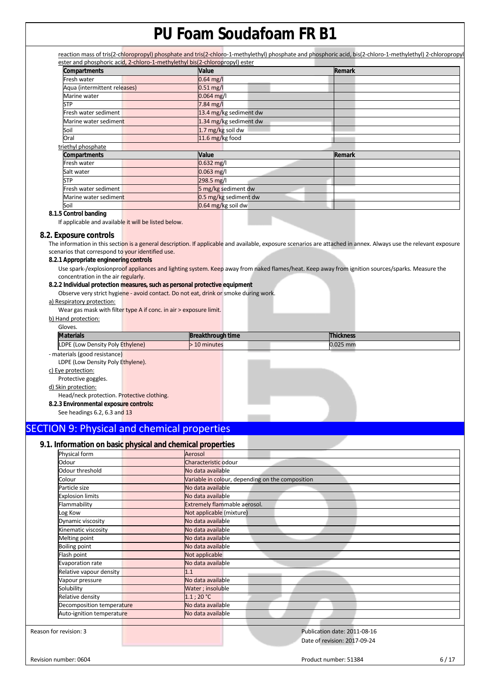reaction mass of tris(2-chloropropyl) phosphate and tris(2-chloro-1-methylethyl) phosphate and phosphoric acid, bis(2-chloro-1-methylethyl) 2-chloropropyl ester and phosphoric acid, 2-chloro-1-methylethyl bis(2-chloropropyl) ester

| <b>Compartments</b>          | Value                  | Remark |
|------------------------------|------------------------|--------|
| Fresh water                  | $0.64$ mg/l            |        |
| Aqua (intermittent releases) | $0.51$ mg/l            |        |
| Marine water                 | $0.064$ mg/l           |        |
| <b>STP</b>                   | 7.84 mg/l              |        |
| Fresh water sediment         | 13.4 mg/kg sediment dw |        |
| Marine water sediment        | 1.34 mg/kg sediment dw |        |
| Soil                         | 1.7 mg/kg soil dw      |        |
| Oral                         | 11.6 mg/kg food        |        |
| triethyl phosphate           |                        |        |
| Compartments                 | Value                  | Remark |
| Fresh water                  | $0.632$ mg/l           |        |
| Salt water                   | $0.063$ mg/l           |        |
| <b>STP</b>                   | 298.5 mg/l             |        |
| Fresh water sediment         | 5 mg/kg sediment dw    |        |
| Marine water sediment        | 0.5 mg/kg sediment dw  |        |
| Soil                         | 0.64 mg/kg soil dw     |        |

**8.1.5 Control banding** 

If applicable and available it will be listed below.

### **8.2. Exposure controls**

The information in this section is a general description. If applicable and available, exposure scenarios are attached in annex. Always use the relevant exposure scenarios that correspond to your identified use.

#### **8.2.1 Appropriate engineering controls**

Use spark-/explosionproof appliances and lighting system. Keep away from naked flames/heat. Keep away from ignition sources/sparks. Measure the concentration in the air regularly.

### **8.2.2 Individual protection measures, such as personal protective equipment**

Observe very strict hygiene - avoid contact. Do not eat, drink or smoke during work.

### a) Respiratory protection:

Wear gas mask with filter type A if conc. in air > exposure limit.

|                | b) Hand protection: |
|----------------|---------------------|
| C <sub>2</sub> |                     |

| uluves.                                            |                          |                  |
|----------------------------------------------------|--------------------------|------------------|
| <b>Materials</b>                                   | <b>Breakthrough time</b> | <b>Thickness</b> |
| LDPE <sup>1</sup><br>E (Low Density Poly Ethylene) | ∙ 10 minutes             | $0.025$ mm       |
|                                                    |                          |                  |

- materials (good resistance) LDPE (Low Density Poly Ethylene).

c) Eye protection:

Protective goggles.

d) Skin protection:

Head/neck protection. Protective clothing.

**8.2.3 Environmental exposure controls:** 

See headings 6.2, 6.3 and 13

## SECTION 9: Physical and chemical properties

## **9.1. Information on basic physical and chemical properties**

| Physical form             | Aerosol                                          |
|---------------------------|--------------------------------------------------|
|                           |                                                  |
| Odour                     | Characteristic odour                             |
| Odour threshold           | No data available                                |
| Colour                    | Variable in colour, depending on the composition |
| Particle size             | No data available                                |
| Explosion limits          | No data available                                |
| Flammability              | Extremely flammable aerosol.                     |
| Log Kow                   | Not applicable (mixture)                         |
| Dynamic viscosity         | No data available                                |
| Kinematic viscosity       | No data available                                |
| Melting point             | No data available                                |
| <b>Boiling point</b>      | No data available                                |
| Flash point               | Not applicable                                   |
| Evaporation rate          | No data available                                |
| Relative vapour density   | 1.1                                              |
| Vapour pressure           | No data available                                |
| Solubility                | Water; insoluble                                 |
| Relative density          | $1.1;20^{\circ}$ C                               |
| Decomposition temperature | No data available                                |
| Auto-ignition temperature | No data available                                |
|                           |                                                  |
| Reason for revision: 3    | Publication date: 2011-08-16                     |

 $\overline{a}$ 

Date of revision: 2017-09-24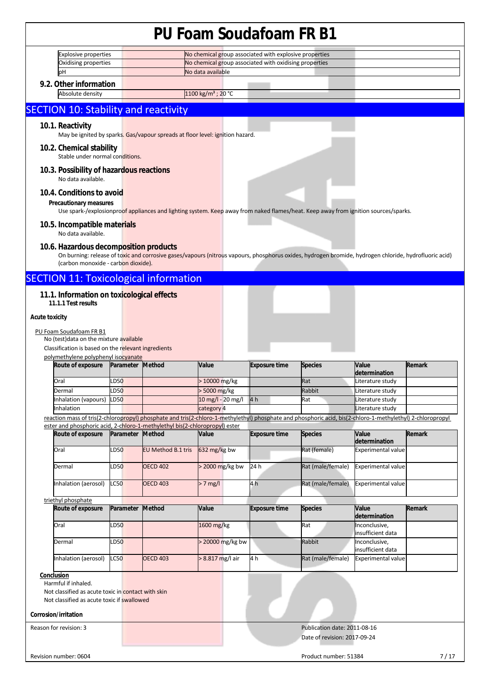|                        |                                                                   |                  |                                                                               | <u>Udili Juddaludi Film D</u>                          |                      |                                                                                                                                                            |                                    |        |
|------------------------|-------------------------------------------------------------------|------------------|-------------------------------------------------------------------------------|--------------------------------------------------------|----------------------|------------------------------------------------------------------------------------------------------------------------------------------------------------|------------------------------------|--------|
|                        | <b>Explosive properties</b>                                       |                  |                                                                               | No chemical group associated with explosive properties |                      |                                                                                                                                                            |                                    |        |
|                        | Oxidising properties                                              |                  |                                                                               | No chemical group associated with oxidising properties |                      |                                                                                                                                                            |                                    |        |
| рH                     |                                                                   |                  |                                                                               | No data available                                      |                      |                                                                                                                                                            |                                    |        |
|                        | 9.2. Other information                                            |                  |                                                                               |                                                        |                      |                                                                                                                                                            |                                    |        |
|                        | Absolute density                                                  |                  |                                                                               | 1100 kg/m <sup>3</sup> ; 20 °C                         |                      |                                                                                                                                                            |                                    |        |
|                        |                                                                   |                  |                                                                               |                                                        |                      |                                                                                                                                                            |                                    |        |
|                        |                                                                   |                  | <b>SECTION 10: Stability and reactivity</b>                                   |                                                        |                      |                                                                                                                                                            |                                    |        |
| 10.1. Reactivity       |                                                                   |                  |                                                                               |                                                        |                      |                                                                                                                                                            |                                    |        |
|                        |                                                                   |                  | May be ignited by sparks. Gas/vapour spreads at floor level: ignition hazard. |                                                        |                      |                                                                                                                                                            |                                    |        |
|                        | 10.2. Chemical stability<br>Stable under normal conditions.       |                  |                                                                               |                                                        |                      |                                                                                                                                                            |                                    |        |
|                        | 10.3. Possibility of hazardous reactions<br>No data available.    |                  |                                                                               |                                                        |                      |                                                                                                                                                            |                                    |        |
|                        | 10.4. Conditions to avoid                                         |                  |                                                                               |                                                        |                      |                                                                                                                                                            |                                    |        |
|                        |                                                                   |                  |                                                                               |                                                        |                      |                                                                                                                                                            |                                    |        |
|                        | <b>Precautionary measures</b>                                     |                  |                                                                               |                                                        |                      | Use spark-/explosionproof appliances and lighting system. Keep away from naked flames/heat. Keep away from ignition sources/sparks.                        |                                    |        |
|                        | 10.5. Incompatible materials                                      |                  |                                                                               |                                                        |                      |                                                                                                                                                            |                                    |        |
|                        | No data available.                                                |                  |                                                                               |                                                        |                      |                                                                                                                                                            |                                    |        |
|                        | 10.6. Hazardous decomposition products                            |                  |                                                                               |                                                        |                      |                                                                                                                                                            |                                    |        |
|                        |                                                                   |                  |                                                                               |                                                        |                      | On burning: release of toxic and corrosive gases/vapours (nitrous vapours, phosphorus oxides, hydrogen bromide, hydrogen chloride, hydrofluoric acid)      |                                    |        |
|                        | (carbon monoxide - carbon dioxide).                               |                  |                                                                               |                                                        |                      |                                                                                                                                                            |                                    |        |
|                        |                                                                   |                  | <b>SECTION 11: Toxicological information</b>                                  |                                                        |                      |                                                                                                                                                            |                                    |        |
|                        |                                                                   |                  |                                                                               |                                                        |                      |                                                                                                                                                            |                                    |        |
|                        | 11.1. Information on toxicological effects<br>11.1.1 Test results |                  |                                                                               |                                                        |                      |                                                                                                                                                            |                                    |        |
|                        |                                                                   |                  |                                                                               |                                                        |                      |                                                                                                                                                            |                                    |        |
| <b>Acute toxicity</b>  |                                                                   |                  |                                                                               |                                                        |                      |                                                                                                                                                            |                                    |        |
|                        | PU Foam Soudafoam FR B1                                           |                  |                                                                               |                                                        |                      |                                                                                                                                                            |                                    |        |
|                        | No (test) data on the mixture available                           |                  |                                                                               |                                                        |                      |                                                                                                                                                            |                                    |        |
|                        | Classification is based on the relevant ingredients               |                  |                                                                               |                                                        |                      |                                                                                                                                                            |                                    |        |
|                        | polymethylene polyphenyl isocyanate                               |                  |                                                                               |                                                        |                      |                                                                                                                                                            |                                    | Remark |
|                        | Route of exposure                                                 | Parameter Method |                                                                               | Value                                                  | <b>Exposure time</b> | <b>Species</b>                                                                                                                                             | Value<br>determination             |        |
| Oral                   |                                                                   | LD50             |                                                                               | > 10000 mg/kg                                          |                      | Rat                                                                                                                                                        | Literature study                   |        |
| Dermal                 |                                                                   | LD50             |                                                                               | > 5000 mg/kg                                           |                      | Rabbit                                                                                                                                                     | Literature study                   |        |
|                        | Inhalation (vapours)                                              | <b>LD50</b>      |                                                                               | 10 mg/l - 20 mg/l                                      | 4 h                  | Rat                                                                                                                                                        | Literature study                   |        |
| Inhalation             |                                                                   |                  |                                                                               | category 4                                             |                      |                                                                                                                                                            | Literature study                   |        |
|                        |                                                                   |                  |                                                                               |                                                        |                      | reaction mass of tris(2-chloropropyl) phosphate and tris(2-chloro-1-methylethyl) phosphate and phosphoric acid, bis(2-chloro-1-methylethyl) 2-chloropropyl |                                    |        |
|                        | Route of exposure                                                 | Parameter Method | ester and phosphoric acid, 2-chloro-1-methylethyl bis(2-chloropropyl) ester   | Value                                                  | <b>Exposure time</b> | <b>Species</b>                                                                                                                                             | Value                              | Remark |
|                        |                                                                   |                  |                                                                               |                                                        |                      |                                                                                                                                                            | determination                      |        |
| Oral                   |                                                                   | LD50             | <b>EU Method B.1 tris</b>                                                     | 632 mg/kg bw                                           |                      | Rat (female)                                                                                                                                               | <b>Experimental value</b>          |        |
| Dermal                 |                                                                   | LD50             | <b>OECD 402</b>                                                               | $> 2000$ mg/kg bw                                      | 24 h                 | Rat (male/female)                                                                                                                                          | Experimental value                 |        |
|                        |                                                                   |                  |                                                                               |                                                        |                      |                                                                                                                                                            |                                    |        |
|                        | Inhalation (aerosol)                                              | LC50             | <b>OECD 403</b>                                                               | $> 7$ mg/l                                             | 4 h                  | Rat (male/female)                                                                                                                                          | <b>Experimental value</b>          |        |
|                        | triethyl phosphate                                                |                  |                                                                               |                                                        |                      |                                                                                                                                                            |                                    |        |
|                        | Route of exposure                                                 | Parameter        | Method                                                                        | Value                                                  | <b>Exposure time</b> | <b>Species</b>                                                                                                                                             | Value<br>determination             | Remark |
| Oral                   |                                                                   | LD50             |                                                                               | 1600 mg/kg                                             |                      | Rat                                                                                                                                                        | Inconclusive,                      |        |
|                        |                                                                   |                  |                                                                               |                                                        |                      |                                                                                                                                                            | insufficient data                  |        |
| Dermal                 |                                                                   | LD50             |                                                                               | > 20000 mg/kg bw                                       |                      | Rabbit                                                                                                                                                     | Inconclusive,<br>insufficient data |        |
|                        | Inhalation (aerosol)                                              | LC50             | <b>OECD 403</b>                                                               | > 8.817 mg/l air                                       | 4 h                  | Rat (male/female)                                                                                                                                          | <b>Experimental value</b>          |        |
| Conclusion             |                                                                   |                  |                                                                               |                                                        |                      |                                                                                                                                                            |                                    |        |
|                        | Harmful if inhaled.                                               |                  |                                                                               |                                                        |                      |                                                                                                                                                            |                                    |        |
|                        | Not classified as acute toxic in contact with skin                |                  |                                                                               |                                                        |                      |                                                                                                                                                            |                                    |        |
|                        | Not classified as acute toxic if swallowed                        |                  |                                                                               |                                                        |                      |                                                                                                                                                            |                                    |        |
| Corrosion/irritation   |                                                                   |                  |                                                                               |                                                        |                      |                                                                                                                                                            |                                    |        |
| Reason for revision: 3 |                                                                   |                  |                                                                               |                                                        |                      | Publication date: 2011-08-16                                                                                                                               |                                    |        |
|                        |                                                                   |                  |                                                                               |                                                        |                      | Date of revision: 2017-09-24                                                                                                                               |                                    |        |
|                        |                                                                   |                  |                                                                               |                                                        |                      |                                                                                                                                                            |                                    |        |
|                        |                                                                   |                  |                                                                               |                                                        |                      |                                                                                                                                                            |                                    |        |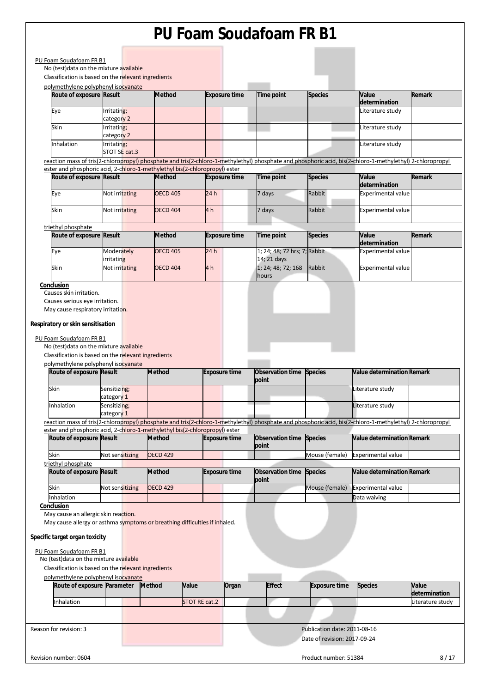| Classification is based on the relevant ingredients                                                                                                            |                              |                 |                                                                                                     |                                                                                                                                                            |                      |                                   |                        |
|----------------------------------------------------------------------------------------------------------------------------------------------------------------|------------------------------|-----------------|-----------------------------------------------------------------------------------------------------|------------------------------------------------------------------------------------------------------------------------------------------------------------|----------------------|-----------------------------------|------------------------|
| polymethylene polyphenyl isocyanate<br>Route of exposure Result                                                                                                |                              | <b>Method</b>   | <b>Exposure time</b>                                                                                | <b>Time point</b>                                                                                                                                          | <b>Species</b>       | <b>Value</b><br>determination     | Remark                 |
| Eye                                                                                                                                                            | Irritating;<br>category 2    |                 |                                                                                                     |                                                                                                                                                            |                      | Literature study                  |                        |
| Skin                                                                                                                                                           | Irritating;<br>category 2    |                 |                                                                                                     |                                                                                                                                                            |                      | Literature study                  |                        |
| Inhalation                                                                                                                                                     | Irritating;<br>STOT SE cat.3 |                 |                                                                                                     |                                                                                                                                                            |                      | Literature study                  |                        |
|                                                                                                                                                                |                              |                 |                                                                                                     | reaction mass of tris(2-chloropropyl) phosphate and tris(2-chloro-1-methylethyl) phosphate and phosphoric acid, bis(2-chloro-1-methylethyl) 2-chloropropyl |                      |                                   |                        |
| Route of exposure Result                                                                                                                                       |                              | <b>Method</b>   | ester and phosphoric acid, 2-chloro-1-methylethyl bis(2-chloropropyl) ester<br><b>Exposure time</b> | Time point                                                                                                                                                 | <b>Species</b>       | Value                             | Remark                 |
|                                                                                                                                                                |                              |                 |                                                                                                     |                                                                                                                                                            |                      | determination                     |                        |
| Eye                                                                                                                                                            | Not irritating               | <b>OECD 405</b> | 24h                                                                                                 | 7 days                                                                                                                                                     | Rabbit               | <b>Experimental value</b>         |                        |
| Skin                                                                                                                                                           | Not irritating               | <b>OECD 404</b> | 4 h                                                                                                 | 7 days                                                                                                                                                     | Rabbit               | <b>Experimental value</b>         |                        |
| triethyl phosphate                                                                                                                                             |                              |                 |                                                                                                     |                                                                                                                                                            |                      |                                   |                        |
| Route of exposure Result                                                                                                                                       |                              | <b>Method</b>   | <b>Exposure time</b>                                                                                | Time point                                                                                                                                                 | <b>Species</b>       | Value<br>determination            | <b>Remark</b>          |
| Eye                                                                                                                                                            | Moderately<br>irritating     | <b>OECD 405</b> | 24h                                                                                                 | 1; 24; 48; 72 hrs; 7; Rabbit<br>14; 21 days                                                                                                                |                      | <b>Experimental value</b>         |                        |
| Skin                                                                                                                                                           | Not irritating               | <b>OECD 404</b> | 4 h                                                                                                 | 1; 24; 48; 72; 168<br>hours                                                                                                                                | Rabbit               | <b>Experimental value</b>         |                        |
| Conclusion<br>Causes skin irritation.                                                                                                                          |                              |                 |                                                                                                     |                                                                                                                                                            |                      |                                   |                        |
| Respiratory or skin sensitisation<br>PU Foam Soudafoam FR B1<br>No (test) data on the mixture available<br>Classification is based on the relevant ingredients |                              |                 |                                                                                                     |                                                                                                                                                            |                      |                                   |                        |
| polymethylene polyphenyl isocyanate<br>Route of exposure Result                                                                                                |                              | <b>Method</b>   | <b>Exposure time</b>                                                                                | Observation time Species                                                                                                                                   |                      | Value determination Remark        |                        |
| Skin                                                                                                                                                           | Sensitizing;                 |                 |                                                                                                     | point                                                                                                                                                      |                      | Literature study                  |                        |
| Inhalation                                                                                                                                                     | category 1<br>Sensitizing;   |                 |                                                                                                     |                                                                                                                                                            |                      | Literature study                  |                        |
|                                                                                                                                                                | category 1                   |                 |                                                                                                     |                                                                                                                                                            |                      |                                   |                        |
|                                                                                                                                                                |                              |                 | ester and phosphoric acid, 2-chloro-1-methylethyl bis(2-chloropropyl) ester                         | reaction mass of tris(2-chloropropyl) phosphate and tris(2-chloro-1-methylethyl) phosphate and phosphoric acid, bis(2-chloro-1-methylethyl) 2-chloropropyl |                      |                                   |                        |
| Route of exposure Result                                                                                                                                       |                              | <b>Method</b>   | <b>Exposure time</b>                                                                                | Observation time Species<br>point                                                                                                                          |                      | <b>Value determination Remark</b> |                        |
| Skin                                                                                                                                                           | Not sensitizing              | <b>OECD 429</b> |                                                                                                     |                                                                                                                                                            | Mouse (female)       | <b>Experimental value</b>         |                        |
| triethyl phosphate<br>Route of exposure Result                                                                                                                 |                              | <b>Method</b>   | <b>Exposure time</b>                                                                                | Observation time<br>point                                                                                                                                  | <b>Species</b>       | Value determination Remark        |                        |
| Skin                                                                                                                                                           | Not sensitizing              | <b>OECD 429</b> |                                                                                                     |                                                                                                                                                            | Mouse (female)       | Experimental value                |                        |
| Inhalation                                                                                                                                                     |                              |                 |                                                                                                     |                                                                                                                                                            |                      | Data waiving                      |                        |
| Conclusion<br>May cause an allergic skin reaction.                                                                                                             |                              |                 |                                                                                                     |                                                                                                                                                            |                      |                                   |                        |
|                                                                                                                                                                |                              |                 | May cause allergy or asthma symptoms or breathing difficulties if inhaled.                          |                                                                                                                                                            |                      |                                   |                        |
| Specific target organ toxicity                                                                                                                                 |                              |                 |                                                                                                     |                                                                                                                                                            |                      |                                   |                        |
| PU Foam Soudafoam FR B1                                                                                                                                        |                              |                 |                                                                                                     |                                                                                                                                                            |                      |                                   |                        |
| No (test) data on the mixture available<br>Classification is based on the relevant ingredients                                                                 |                              |                 |                                                                                                     |                                                                                                                                                            |                      |                                   |                        |
| polymethylene polyphenyl isocyanate                                                                                                                            |                              |                 |                                                                                                     |                                                                                                                                                            |                      |                                   |                        |
| Route of exposure Parameter                                                                                                                                    |                              | <b>Method</b>   | Value<br>Organ                                                                                      | <b>Effect</b>                                                                                                                                              | <b>Exposure time</b> | <b>Species</b>                    | Value<br>determination |
| Inhalation                                                                                                                                                     |                              |                 | STOT RE cat.2                                                                                       |                                                                                                                                                            |                      |                                   | Literature study       |
|                                                                                                                                                                |                              |                 |                                                                                                     |                                                                                                                                                            |                      |                                   |                        |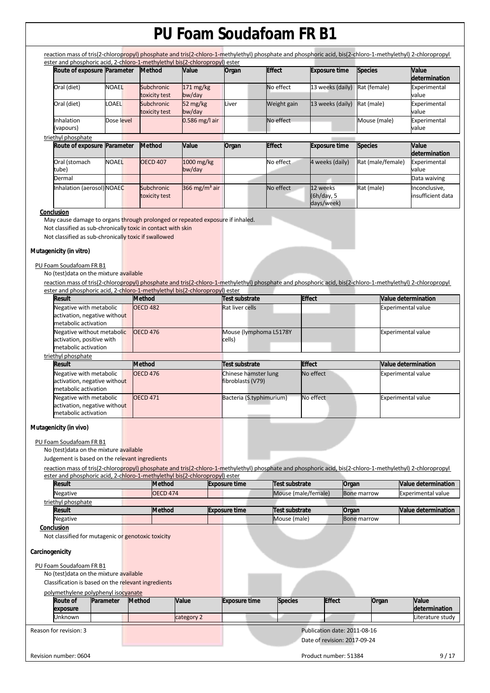reaction mass of tris(2-chloropropyl) phosphate and tris(2-chloro-1-methylethyl) phosphate and phosphoric acid, bis(2-chloro-1-methylethyl) 2-chloropropyl<br>ostar and phosphoric acid, 2-chloro, 1-methylethyl bis(2-chloroprop  $\frac{1}{2}$  ctor and phosphoric acid, 2-chloro-

| Route of exposure Parameter |              | <b>Method</b>               | <b>Value</b>                  | Organ | <b>Effect</b> | <b>Exposure time</b>                 | <b>Species</b>    | Value<br>determination             |
|-----------------------------|--------------|-----------------------------|-------------------------------|-------|---------------|--------------------------------------|-------------------|------------------------------------|
| Oral (diet)                 | <b>NOAEL</b> | Subchronic<br>toxicity test | $171 \text{ mg/kg}$<br>bw/day |       | No effect     | 13 weeks (daily)                     | Rat (female)      | Experimental<br>value              |
| Oral (diet)                 | LOAEL        | Subchronic<br>toxicity test | 52 mg/kg<br>bw/day            | Liver | Weight gain   | 13 weeks (daily)                     | Rat (male)        | Experimental<br>value              |
| Inhalation<br>(vapours)     | Dose level   |                             | $0.586$ mg/l air              |       | No effect     |                                      | Mouse (male)      | Experimental<br>value              |
| triethyl phosphate          |              |                             |                               |       |               |                                      |                   |                                    |
| Route of exposure           | Parameter    | <b>Method</b>               | Value                         | Organ | <b>Effect</b> | <b>Exposure time</b>                 | <b>Species</b>    | <b>Value</b><br>determination      |
| Oral (stomach<br>tube)      | <b>NOAEL</b> | <b>OECD 407</b>             | 1000 mg/kg<br>bw/day          |       | No effect     | 4 weeks (daily)                      | Rat (male/female) | Experimental<br>value              |
| Dermal                      |              |                             |                               |       |               |                                      |                   | Data waiving                       |
| Inhalation (aerosol) NOAEC  |              | Subchronic<br>toxicity test | 366 mg/m <sup>3</sup> air     |       | No effect     | 12 weeks<br>(6h/day, 5<br>days/week) | Rat (male)        | Inconclusive,<br>insufficient data |

#### **Conclusion**

May cause damage to organs through prolonged or repeated exposure if inhaled.

Not classified as sub-chronically toxic in contact with skin

Not classified as sub-chronically toxic if swallowed

#### **Mutagenicity (in vitro)**

## PU Foam Soudafoam FR B1

No (test)data on the mixture available

reaction mass of tris(2-chloropropyl) phosphate and tris(2-chloro-1-methylethyl) phosphate and phosphoric acid, bis(2-chloro-1-methylethyl) 2-chloropropyl enhoric acid, 2-chloro 1-methylethyl bis(2-chloropropyl)

| Result                                                                          | <b>Method</b>   | Test substrate                            | <b>Effect</b> | <b>Value determination</b> |
|---------------------------------------------------------------------------------|-----------------|-------------------------------------------|---------------|----------------------------|
| Negative with metabolic<br>activation, negative without<br>metabolic activation | <b>OECD 482</b> | Rat liver cells                           |               | <b>Experimental value</b>  |
| Negative without metabolic<br>activation, positive with<br>metabolic activation | <b>OECD 476</b> | Mouse (lymphoma L5178Y<br>cells)          |               | <b>Experimental value</b>  |
| triethyl phosphate                                                              |                 |                                           |               |                            |
| Result                                                                          | <b>Method</b>   | Test substrate                            | <b>Effect</b> | <b>Value determination</b> |
| Negative with metabolic<br>activation, negative without<br>metabolic activation | <b>OECD 476</b> | Chinese hamster lung<br>fibroblasts (V79) | No effect     | <b>Experimental value</b>  |
| Negative with metabolic<br>activation, negative without<br>metabolic activation | <b>OECD 471</b> | Bacteria (S.typhimurium)                  | No effect     | <b>Experimental value</b>  |

## **Mutagenicity (in vivo)**

#### PU Foam Soudafoam FR B1

No (test)data on the mixture available

Judgement is based on the relevant ingredients

reaction mass of tris(2-chloropropyl) phosphate and tris(2-chloro-1-methylethyl) phosphate and phosphoric acid, bis(2-chloro-1-methylethyl) 2-chloropropyl ester and phosphoric acid, 2-chloro-1-methylethyl bis(2-chloropropyl) ester

|                 | <b>Result</b>                                       |           |               | <b>Method</b>   | <b>Exposure time</b> | Test substrate      | Organ                                                        |       | <b>Value determination</b> |
|-----------------|-----------------------------------------------------|-----------|---------------|-----------------|----------------------|---------------------|--------------------------------------------------------------|-------|----------------------------|
|                 | Negative                                            |           |               | <b>OECD 474</b> |                      | Mouse (male/female) | <b>Bone marrow</b>                                           |       | <b>Experimental value</b>  |
|                 | triethyl phosphate                                  |           |               |                 |                      |                     |                                                              |       |                            |
|                 | <b>Result</b>                                       |           |               | <b>Method</b>   | <b>Exposure time</b> | Test substrate      | Organ                                                        |       | <b>Value determination</b> |
|                 | Negative                                            |           |               |                 |                      | Mouse (male)        | <b>Bone marrow</b>                                           |       |                            |
|                 | Conclusion                                          |           |               |                 |                      |                     |                                                              |       |                            |
|                 | Not classified for mutagenic or genotoxic toxicity  |           |               |                 |                      |                     |                                                              |       |                            |
| Carcinogenicity |                                                     |           |               |                 |                      |                     |                                                              |       |                            |
|                 | PU Foam Soudafoam FR B1                             |           |               |                 |                      |                     |                                                              |       |                            |
|                 | No (test) data on the mixture available             |           |               |                 |                      |                     |                                                              |       |                            |
|                 | Classification is based on the relevant ingredients |           |               |                 |                      |                     |                                                              |       |                            |
|                 | polymethylene polyphenyl isocyanate                 |           |               |                 |                      |                     |                                                              |       |                            |
|                 | Route of<br>exposure                                | Parameter | <b>Method</b> | Value           | <b>Exposure time</b> | <b>Species</b>      | <b>Effect</b>                                                | Organ | Value<br>determination     |
|                 | Unknown                                             |           |               | category 2      |                      |                     |                                                              |       | Literature study           |
|                 | Reason for revision: 3                              |           |               |                 |                      |                     | Publication date: 2011-08-16<br>Date of revision: 2017-09-24 |       |                            |
|                 | Revision number: 0604                               |           |               |                 |                      |                     | Product number: 51384                                        |       | 9/17                       |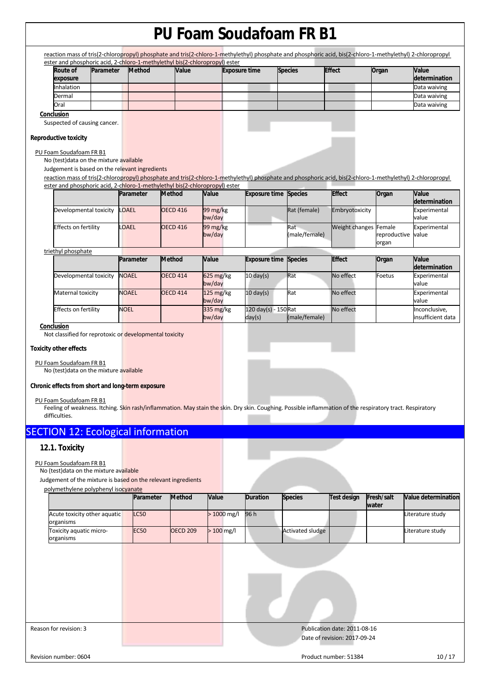|                                                                                                                                          |           |               |                 |                 |                       |                                |                              | reaction mass of tris(2-chloropropyl) phosphate and tris(2-chloro-1-methylethyl) phosphate and phosphoric acid, bis(2-chloro-1-methylethyl) 2-chloropropyl |                       |                                    |
|------------------------------------------------------------------------------------------------------------------------------------------|-----------|---------------|-----------------|-----------------|-----------------------|--------------------------------|------------------------------|------------------------------------------------------------------------------------------------------------------------------------------------------------|-----------------------|------------------------------------|
| ester and phosphoric acid, 2-chloro-1-methylethyl bis(2-chloropropyl) ester<br>Route of<br>exposure                                      | Parameter | <b>Method</b> |                 | Value           |                       | <b>Exposure time</b>           | <b>Species</b>               | <b>Effect</b>                                                                                                                                              | Organ                 | Value<br>determination             |
| Inhalation                                                                                                                               |           |               |                 |                 |                       |                                |                              |                                                                                                                                                            |                       | Data waiving                       |
| Dermal                                                                                                                                   |           |               |                 |                 |                       |                                |                              |                                                                                                                                                            |                       | Data waiving                       |
| Oral                                                                                                                                     |           |               |                 |                 |                       |                                |                              |                                                                                                                                                            |                       | Data waiving                       |
| Conclusion<br>Suspected of causing cancer.                                                                                               |           |               |                 |                 |                       |                                |                              |                                                                                                                                                            |                       |                                    |
| <b>Reproductive toxicity</b>                                                                                                             |           |               |                 |                 |                       |                                |                              |                                                                                                                                                            |                       |                                    |
| PU Foam Soudafoam FR B1<br>No (test) data on the mixture available<br>Judgement is based on the relevant ingredients                     |           |               |                 |                 |                       |                                |                              |                                                                                                                                                            |                       |                                    |
|                                                                                                                                          |           |               |                 |                 |                       |                                |                              | reaction mass of tris(2-chloropropyl) phosphate and tris(2-chloro-1-methylethyl) phosphate and phosphoric acid, bis(2-chloro-1-methylethyl) 2-chloropropyl |                       |                                    |
| ester and phosphoric acid, 2-chloro-1-methylethyl bis(2-chloropropyl) ester                                                              |           |               |                 |                 |                       |                                |                              |                                                                                                                                                            |                       |                                    |
|                                                                                                                                          |           | Parameter     | <b>Method</b>   |                 | Value                 |                                | <b>Exposure time Species</b> | <b>Effect</b>                                                                                                                                              | Organ                 | Value<br>determination             |
| Developmental toxicity                                                                                                                   |           | <b>LOAEL</b>  | <b>OECD 416</b> |                 | 99 mg/kg<br>bw/day    |                                | Rat (female)                 | Embryotoxicity                                                                                                                                             |                       | Experimental<br>value              |
| Effects on fertility                                                                                                                     |           | <b>OAEL</b>   | <b>OECD 416</b> |                 | 99 mg/kg<br>bw/day    |                                | Rat<br>(male/female)         | Weight changes Female                                                                                                                                      | reproductive<br>organ | Experimental<br>value              |
| triethyl phosphate                                                                                                                       |           |               |                 |                 |                       |                                |                              |                                                                                                                                                            |                       |                                    |
|                                                                                                                                          |           | Parameter     | Method          |                 | Value                 | <b>Exposure time</b>           | <b>Species</b>               | <b>Effect</b>                                                                                                                                              | Organ                 | Value<br>determination             |
| Developmental toxicity                                                                                                                   |           | <b>NOAEL</b>  | <b>OECD 414</b> |                 | $625$ mg/kg<br>bw/day | $10 \text{ day(s)}$            | Rat                          | No effect                                                                                                                                                  | Foetus                | Experimental<br>value              |
| Maternal toxicity                                                                                                                        |           | <b>NOAEL</b>  | <b>OECD 414</b> |                 | 125 mg/kg<br>bw/day   | $10 \text{ day(s)}$            | Rat                          | No effect                                                                                                                                                  |                       | Experimental<br>value              |
| <b>Effects on fertility</b>                                                                                                              |           | <b>NOEL</b>   |                 |                 | 335 mg/kg<br>bw/day   | 120 day(s) - 150 Rat<br>day(s) | (male/female)                | No effect                                                                                                                                                  |                       | Inconclusive,<br>insufficient data |
| No (test) data on the mixture available<br>Chronic effects from short and long-term exposure<br>PU Foam Soudafoam FR B1<br>difficulties. |           |               |                 |                 |                       |                                |                              | Feeling of weakness. Itching. Skin rash/inflammation. May stain the skin. Dry skin. Coughing. Possible inflammation of the respiratory tract. Respiratory  |                       |                                    |
| <b>SECTION 12: Ecological information</b>                                                                                                |           |               |                 |                 |                       |                                |                              |                                                                                                                                                            |                       |                                    |
| 12.1. Toxicity                                                                                                                           |           |               |                 |                 |                       |                                |                              |                                                                                                                                                            |                       |                                    |
| PU Foam Soudafoam FR B1<br>No (test) data on the mixture available<br>Judgement of the mixture is based on the relevant ingredients      |           |               |                 |                 |                       |                                |                              |                                                                                                                                                            |                       |                                    |
| polymethylene polyphenyl isocyanate                                                                                                      |           | Parameter     |                 | Method          | Value                 | <b>Duration</b>                | <b>Species</b>               | <b>Test design</b>                                                                                                                                         | Fresh/salt            | Value determination                |
| Acute toxicity other aquatic                                                                                                             |           | C50           |                 |                 | $>1000$ mg/l          | 96 h                           |                              |                                                                                                                                                            | water                 | Literature study                   |
| organisms<br>Toxicity aquatic micro-                                                                                                     |           | <b>EC50</b>   |                 | <b>OECD 209</b> | $>100$ mg/l           |                                | <b>Activated sludge</b>      |                                                                                                                                                            |                       | Literature study                   |
| organisms                                                                                                                                |           |               |                 |                 |                       |                                |                              |                                                                                                                                                            |                       |                                    |
|                                                                                                                                          |           |               |                 |                 |                       |                                |                              |                                                                                                                                                            |                       |                                    |
|                                                                                                                                          |           |               |                 |                 |                       |                                |                              |                                                                                                                                                            |                       |                                    |
| Reason for revision: 3                                                                                                                   |           |               |                 |                 |                       |                                |                              | Publication date: 2011-08-16<br>Date of revision: 2017-09-24                                                                                               |                       |                                    |
| Revision number: 0604                                                                                                                    |           |               |                 |                 |                       |                                |                              | Product number: 51384                                                                                                                                      |                       | 10/17                              |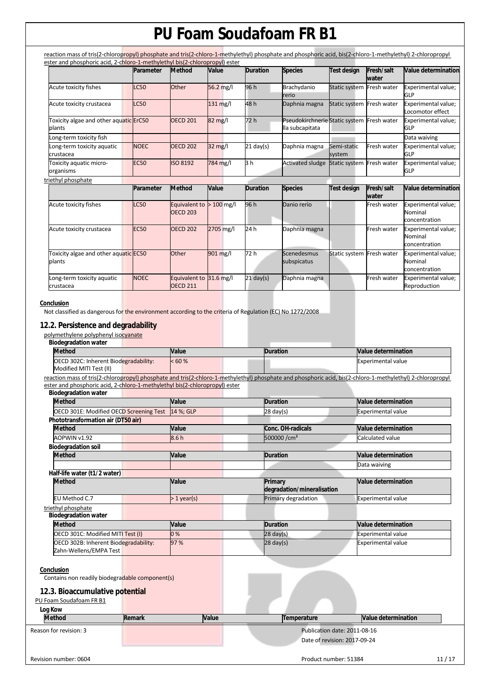reaction mass of tris(2-chloropropyl) phosphate and tris(2-chloro-1-methylethyl) phosphate and phosphoric acid, bis(2-chloro-1-methylethyl) 2-chloropropyl ester and phosphoric acid, 2-chloro-1-methylethyl bis(2-chloropropyl) ester

|                                                         | Parameter   | <b>Method</b>                                 | Value             | <b>Duration</b> | <b>Species</b>                                                | <b>Test design</b>        | Fresh/salt<br>water | Value determination                             |
|---------------------------------------------------------|-------------|-----------------------------------------------|-------------------|-----------------|---------------------------------------------------------------|---------------------------|---------------------|-------------------------------------------------|
| Acute toxicity fishes                                   | <b>LC50</b> | Other                                         | $56.2$ mg/l       | 96 h            | Brachydanio<br>rerio                                          | Static system Fresh water |                     | Experimental value;<br>GLP                      |
| Acute toxicity crustacea                                | <b>LC50</b> |                                               | $131$ mg/l        | 48h             | Daphnia magna                                                 | Static system Fresh water |                     | Experimental value;<br>Locomotor effect         |
| Toxicity algae and other aquatic <b>ErC50</b><br>plants |             | <b>OECD 201</b>                               | $82 \text{ mg/l}$ | 72 h            | Pseudokirchnerie Static system Fresh water<br>lla subcapitata |                           |                     | Experimental value;<br>GLP                      |
| Long-term toxicity fish                                 |             |                                               |                   |                 |                                                               |                           |                     | Data waiving                                    |
| Long-term toxicity aquatic<br>crustacea                 | <b>NOEC</b> | <b>OECD 202</b>                               | $32 \text{ mg/l}$ | $21$ day(s)     | Daphnia magna                                                 | Semi-static<br>system     | Fresh water         | Experimental value;<br>GLP                      |
| Toxicity aquatic micro-<br>organisms                    | <b>EC50</b> | <b>ISO 8192</b>                               | 784 mg/l          | 3 h             | <b>Activated sludge</b>                                       | Static system             | Fresh water         | Experimental value;<br><b>GLP</b>               |
| triethyl phosphate                                      |             |                                               |                   |                 |                                                               |                           |                     |                                                 |
|                                                         | Parameter   | <b>Method</b>                                 | <b>Value</b>      | <b>Duration</b> | <b>Species</b>                                                | <b>Test design</b>        | Fresh/salt<br>water | Value determination                             |
| Acute toxicity fishes                                   | <b>LC50</b> | Equivalent to $> 100$ mg/l<br><b>OECD 203</b> |                   | 96 h            | Danio rerio                                                   |                           | Fresh water         | Experimental value;<br>Nominal<br>concentration |
| Acute toxicity crustacea                                | <b>EC50</b> | <b>OECD 202</b>                               | 2705 mg/l         | 24 h            | Daphnia magna                                                 |                           | Fresh water         | Experimental value;<br>Nominal<br>concentration |
| Toxicity algae and other aquatic EC50<br>plants         |             | Other                                         | 901 mg/l          | 72 h            | Scenedesmus<br>subspicatus                                    | <b>Static system</b>      | Fresh water         | Experimental value;<br>Nominal<br>concentration |
| Long-term toxicity aquatic                              | <b>NOEC</b> | Equivalent to 31.6 mg/l                       |                   | $21$ day(s)     | Daphnia magna                                                 |                           | Fresh water         | Experimental value;                             |

## **Conclusion**

Not classified as dangerous for the environment according to the criteria of Regulation (EC) No 1272/2008

## **12.2. Persistence and degradability**

polymethylene polyphenyl isocyanate

| <b>Method</b>                                                                                                                                              | Value        | <b>Duration</b>                       | Value determination       |
|------------------------------------------------------------------------------------------------------------------------------------------------------------|--------------|---------------------------------------|---------------------------|
| OECD 302C: Inherent Biodegradability:<br>Modified MITI Test (II)                                                                                           | < 60%        |                                       | <b>Experimental value</b> |
| reaction mass of tris(2-chloropropyl) phosphate and tris(2-chloro-1-methylethyl) phosphate and phosphoric acid, bis(2-chloro-1-methylethyl) 2-chloropropyl |              |                                       |                           |
| ester and phosphoric acid, 2-chloro-1-methylethyl bis(2-chloropropyl) ester                                                                                |              |                                       |                           |
| <b>Biodegradation water</b><br><b>Method</b>                                                                                                               | Value        | <b>Duration</b>                       | Value determination       |
|                                                                                                                                                            |              |                                       |                           |
| OECD 301E: Modified OECD Screening Test<br>Phototransformation air (DT50 air)                                                                              | 14 %; GLP    | $28 \text{ day(s)}$                   | <b>Experimental value</b> |
| <b>Method</b>                                                                                                                                              | Value        | Conc. OH-radicals                     | Value determination       |
| AOPWIN v1.92                                                                                                                                               | 8.6h         | 500000 / cm <sup>3</sup>              | Calculated value          |
| <b>Biodegradation soil</b>                                                                                                                                 |              |                                       |                           |
| <b>Method</b>                                                                                                                                              | Value        | <b>Duration</b>                       | Value determination       |
|                                                                                                                                                            |              |                                       | Data waiving              |
| Half-life water (t1/2 water)                                                                                                                               |              |                                       |                           |
| <b>Method</b>                                                                                                                                              | Value        | Primary<br>degradation/mineralisation | Value determination       |
| EU Method C.7                                                                                                                                              | $>1$ year(s) | Primary degradation                   | <b>Experimental value</b> |
| triethyl phosphate<br><b>Biodegradation water</b>                                                                                                          |              |                                       |                           |
| <b>Method</b>                                                                                                                                              | Value        | <b>Duration</b>                       | Value determination       |
| OECD 301C: Modified MITI Test (I)                                                                                                                          | 0%           | $28 \text{ day(s)}$                   | <b>Experimental value</b> |
| OECD 302B: Inherent Biodegradability:<br>Zahn-Wellens/EMPA Test                                                                                            | 97 %         | $28 \text{ day}(s)$                   | <b>Experimental value</b> |
| Conclusion<br>Contains non readily biodegradable component(s)                                                                                              |              |                                       |                           |
| 12.3. Bioaccumulative potential                                                                                                                            |              |                                       |                           |
| PU Foam Soudafoam FR B1                                                                                                                                    |              |                                       |                           |
| Log Kow                                                                                                                                                    |              |                                       |                           |
| <b>Method</b><br><b>Remark</b>                                                                                                                             | <b>Value</b> | Temperature                           | Value determination       |
|                                                                                                                                                            |              | Publication date: 2011-08-16          |                           |
| Reason for revision: 3                                                                                                                                     |              |                                       |                           |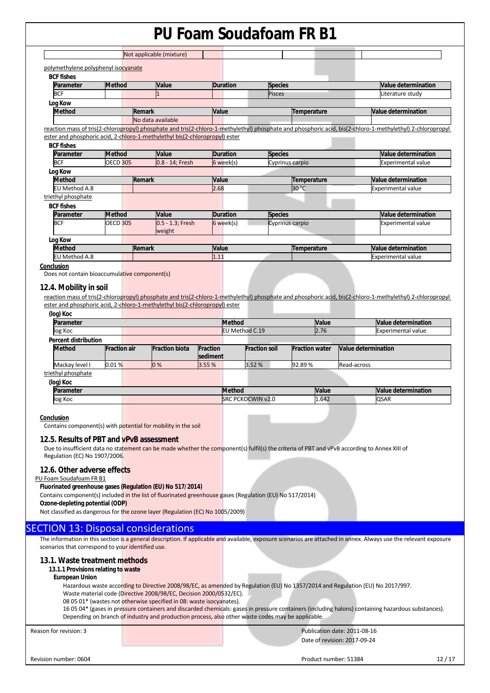| <b>BCF</b> fishes              |                 |                                                                             |                 |                                                                                                                                                            |                            |
|--------------------------------|-----------------|-----------------------------------------------------------------------------|-----------------|------------------------------------------------------------------------------------------------------------------------------------------------------------|----------------------------|
| Parameter                      | <b>Method</b>   | Value                                                                       | <b>Duration</b> | <b>Species</b>                                                                                                                                             | <b>Value determination</b> |
| <b>BCF</b>                     |                 |                                                                             |                 | Pisces                                                                                                                                                     | Literature study           |
| Log Kow                        |                 |                                                                             |                 |                                                                                                                                                            |                            |
| <b>Method</b>                  |                 | Remark                                                                      | Value           | Temperature                                                                                                                                                | Value determination        |
|                                |                 | No data available                                                           |                 |                                                                                                                                                            |                            |
|                                |                 |                                                                             |                 | reaction mass of tris(2-chloropropyl) phosphate and tris(2-chloro-1-methylethyl) phosphate and phosphoric acid, bis(2-chloro-1-methylethyl) 2-chloropropyl |                            |
|                                |                 | ester and phosphoric acid, 2-chloro-1-methylethyl bis(2-chloropropyl) ester |                 |                                                                                                                                                            |                            |
| <b>BCF fishes</b>              |                 |                                                                             |                 |                                                                                                                                                            |                            |
| Parameter                      | <b>Method</b>   | Value                                                                       | <b>Duration</b> | <b>Species</b>                                                                                                                                             | Value determination        |
| <b>BCF</b>                     | <b>OECD 305</b> | 0.8 - 14; Fresh                                                             | 6 week(s)       | Cyprinus carpio                                                                                                                                            | Experimental value         |
| Log Kow                        |                 |                                                                             |                 |                                                                                                                                                            |                            |
| <b>Method</b>                  |                 | Remark                                                                      | Value           | Temperature                                                                                                                                                | Value determination        |
| EU Method A.8                  |                 |                                                                             | 2.68            | 30 °C                                                                                                                                                      | Experimental value         |
| triethyl phosphate             |                 |                                                                             |                 |                                                                                                                                                            |                            |
|                                |                 |                                                                             |                 |                                                                                                                                                            |                            |
|                                | <b>Method</b>   | Value                                                                       | <b>Duration</b> | <b>Species</b>                                                                                                                                             | <b>Value determination</b> |
| <b>BCF fishes</b><br>Parameter |                 |                                                                             |                 |                                                                                                                                                            |                            |
| <b>BCF</b>                     | <b>OECD 305</b> | 0.5 - 1.3; Fresh<br>weight                                                  | 6 week(s)       | Cyprinus carpio                                                                                                                                            | <b>Experimental value</b>  |
|                                |                 |                                                                             |                 |                                                                                                                                                            |                            |
| Log Kow<br><b>Method</b>       |                 | Remark                                                                      | Value           | Temperature                                                                                                                                                | Value determination        |

#### **12.4. Mobility in soil**

reaction mass of tris(2-chloropropyl) phosphate and tris(2-chloro-1-methylethyl) phosphate and phosphoric acid, bis(2-chloro-1-methylethyl) 2-chloropropyl ester and phosphoric acid, 2-chloro-1-methylethyl bis(2-chloropropyl) ester

| (log) Koc                   |                     |                       |                             |                |                          |                       |              |                           |                            |
|-----------------------------|---------------------|-----------------------|-----------------------------|----------------|--------------------------|-----------------------|--------------|---------------------------|----------------------------|
| Parameter                   |                     |                       |                             | <b>Method</b>  |                          |                       | <b>Value</b> |                           | <b>Value determination</b> |
| log Koc                     |                     |                       |                             | EU Method C.19 |                          | 2.76                  |              | <b>Experimental value</b> |                            |
| <b>Percent distribution</b> |                     |                       |                             |                |                          |                       |              |                           |                            |
| <b>Method</b>               | <b>Fraction air</b> | <b>Fraction biota</b> | <b>Fraction</b><br>sediment |                | <b>Fraction soil</b>     | <b>Fraction water</b> |              | Value determination       |                            |
| Mackay level I              | 0.01%               | 0%                    | 3.55 %                      |                | 3.52%                    | 92.89%                |              | Read-across               |                            |
| triethyl phosphate          |                     |                       |                             |                |                          |                       |              |                           |                            |
| (log) Koc                   |                     |                       |                             |                |                          |                       |              |                           |                            |
| Parameter                   |                     |                       |                             | <b>Method</b>  |                          |                       | Value        |                           | Value determination        |
| log Koc                     |                     |                       |                             |                | <b>SRC PCKOCWIN v2.0</b> |                       | 1.642        |                           | <b>QSAR</b>                |
|                             |                     |                       |                             |                |                          |                       |              |                           |                            |
| Conclusion                  |                     |                       |                             |                |                          |                       |              |                           |                            |

Contains component(s) with potential for mobility in the soil

## **12.5. Results of PBT and vPvB assessment**

Due to insufficient data no statement can be made whether the component(s) fulfil(s) the criteria of PBT and vPvB according to Annex XIII of Regulation (EC) No 1907/2006.

## **12.6. Other adverse effects**

## PU Foam Soudafoam FR B1

**Fluorinated greenhouse gases (Regulation (EU) No 517/2014)** 

Contains component(s) included in the list of fluorinated greenhouse gases (Regulation (EU) No 517/2014)

**Ozone-depleting potential (ODP)** 

Not classified as dangerous for the ozone layer (Regulation (EC) No 1005/2009)

## SECTION 13: Disposal considerations

The information in this section is a general description. If applicable and available, exposure scenarios are attached in annex. Always use the relevant exposure scenarios that correspond to your identified use.

### **13.1. Waste treatment methods**

#### **13.1.1 Provisions relating to waste**

#### **European Union**

Hazardous waste according to Directive 2008/98/EC, as amended by Regulation (EU) No 1357/2014 and Regulation (EU) No 2017/997. Waste material code (Directive 2008/98/EC, Decision 2000/0532/EC).

08 05 01\* (wastes not otherwise specified in 08: waste isocyanates).

16 05 04\* (gases in pressure containers and discarded chemicals: gases in pressure containers (including halons) containing hazardous substances). Depending on branch of industry and production process, also other waste codes may be applicable.

Reason for revision: 3 Publication date: 2011-08-16 Date of revision: 2017-09-24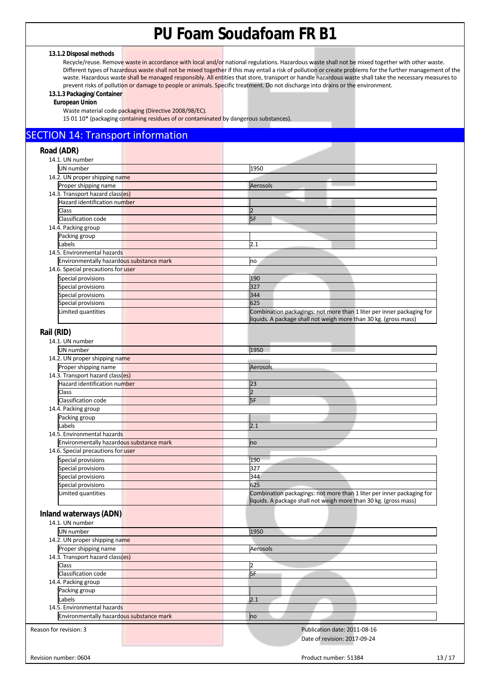## **13.1.2 Disposal methods**

Recycle/reuse. Remove waste in accordance with local and/or national regulations. Hazardous waste shall not be mixed together with other waste. Different types of hazardous waste shall not be mixed together if this may entail a risk of pollution or create problems for the further management of the waste. Hazardous waste shall be managed responsibly. All entities that store, transport or handle hazardous waste shall take the necessary measures to prevent risks of pollution or damage to people or animals. Specific treatment. Do not discharge into drains or the environment.

## **13.1.3 Packaging/Container**

**European Union** 

Waste material code packaging (Directive 2008/98/EC).

15 01 10\* (packaging containing residues of or contaminated by dangerous substances).

## SECTION 14: Transport information

| Road (ADR)                               |                                                                       |
|------------------------------------------|-----------------------------------------------------------------------|
| 14.1. UN number                          |                                                                       |
| UN number                                | 1950                                                                  |
| 14.2. UN proper shipping name            |                                                                       |
| Proper shipping name                     | Aerosols                                                              |
| 14.3. Transport hazard class(es)         |                                                                       |
| Hazard identification number             |                                                                       |
| Class                                    | $\overline{2}$                                                        |
| Classification code                      | 5F                                                                    |
| 14.4. Packing group                      |                                                                       |
| Packing group                            |                                                                       |
| Labels                                   | 2.1                                                                   |
| 14.5. Environmental hazards              |                                                                       |
| Environmentally hazardous substance mark | no                                                                    |
| 14.6. Special precautions for user       |                                                                       |
| Special provisions                       | 190                                                                   |
| Special provisions                       | 327                                                                   |
| Special provisions                       | 344                                                                   |
| Special provisions                       | 625                                                                   |
| Limited quantities                       | Combination packagings: not more than 1 liter per inner packaging for |
|                                          | liquids. A package shall not weigh more than 30 kg. (gross mass)      |
|                                          |                                                                       |
| Rail (RID)                               |                                                                       |
| 14.1. UN number                          |                                                                       |
| UN number                                | 1950                                                                  |
| 14.2. UN proper shipping name            |                                                                       |
| Proper shipping name                     | Aerosols                                                              |
| 14.3. Transport hazard class(es)         |                                                                       |
| Hazard identification number             | 23                                                                    |
| Class                                    | $\overline{2}$                                                        |
| Classification code                      | 5F                                                                    |
| 14.4. Packing group                      |                                                                       |
| Packing group                            |                                                                       |
| Labels                                   | 2.1                                                                   |
| 14.5. Environmental hazards              |                                                                       |
| Environmentally hazardous substance mark | no                                                                    |
| 14.6. Special precautions for user       |                                                                       |
| Special provisions                       | 190                                                                   |
| Special provisions                       | 327                                                                   |
| Special provisions                       | 344                                                                   |
| Special provisions                       | 625                                                                   |
|                                          | Combination packagings: not more than 1 liter per inner packaging for |
| Limited quantities                       | liquids. A package shall not weigh more than 30 kg. (gross mass)      |
| Inland waterways (ADN)                   |                                                                       |
| 14.1. UN number                          |                                                                       |
| <b>UN</b> number                         |                                                                       |
|                                          | 1950                                                                  |
| 14.2. UN proper shipping name            |                                                                       |
| Proper shipping name                     | Aerosols                                                              |
| 14.3. Transport hazard class(es)         |                                                                       |
| Class                                    | 2                                                                     |
| Classification code                      | 5F                                                                    |
| 14.4. Packing group                      |                                                                       |
| Packing group                            |                                                                       |
| Labels                                   | 2.1                                                                   |
| 14.5. Environmental hazards              |                                                                       |
| Environmentally hazardous substance mark | no                                                                    |
|                                          |                                                                       |
| Reason for revision: 3                   | Publication date: 2011-08-16                                          |
|                                          | Date of revision: 2017-09-24                                          |
|                                          |                                                                       |
| Revision number: 0604                    | 13/17<br>Product number: 51384                                        |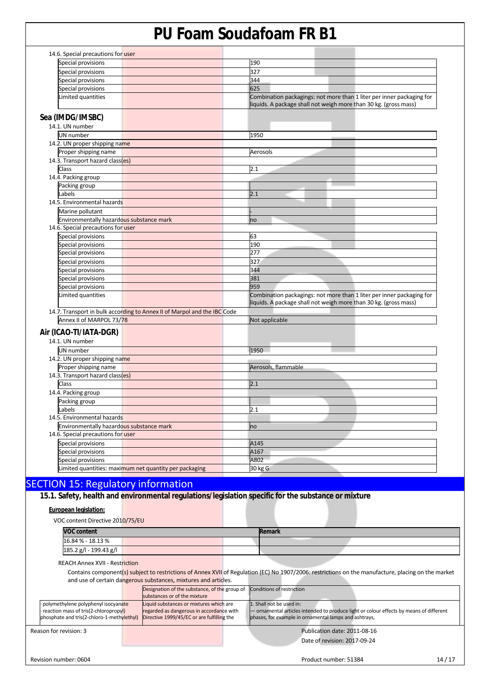| Special provisions                        |                                                                          | 190                                                                                                                                       |
|-------------------------------------------|--------------------------------------------------------------------------|-------------------------------------------------------------------------------------------------------------------------------------------|
| Special provisions                        |                                                                          | 327                                                                                                                                       |
| Special provisions                        |                                                                          | 344                                                                                                                                       |
| Special provisions                        |                                                                          | 625                                                                                                                                       |
| Limited quantities                        |                                                                          | Combination packagings: not more than 1 liter per inner packaging for<br>liquids. A package shall not weigh more than 30 kg. (gross mass) |
| Sea (IMDG/IMSBC)                          |                                                                          |                                                                                                                                           |
| 14.1. UN number                           |                                                                          |                                                                                                                                           |
| UN number                                 |                                                                          | 1950                                                                                                                                      |
| 14.2. UN proper shipping name             |                                                                          |                                                                                                                                           |
| Proper shipping name                      |                                                                          | Aerosols                                                                                                                                  |
| 14.3. Transport hazard class(es)          |                                                                          |                                                                                                                                           |
| Class                                     |                                                                          | 2.1                                                                                                                                       |
| 14.4. Packing group                       |                                                                          |                                                                                                                                           |
| Packing group                             |                                                                          |                                                                                                                                           |
| Labels                                    |                                                                          | 2.1                                                                                                                                       |
| 14.5. Environmental hazards               |                                                                          |                                                                                                                                           |
| Marine pollutant                          |                                                                          |                                                                                                                                           |
| Environmentally hazardous substance mark  |                                                                          | no                                                                                                                                        |
| 14.6. Special precautions for user        |                                                                          |                                                                                                                                           |
| Special provisions                        |                                                                          | 63                                                                                                                                        |
| Special provisions                        |                                                                          | 190                                                                                                                                       |
| Special provisions                        |                                                                          | 277                                                                                                                                       |
| Special provisions                        |                                                                          | 327                                                                                                                                       |
| Special provisions                        |                                                                          | 344                                                                                                                                       |
| Special provisions                        |                                                                          | 381                                                                                                                                       |
| Special provisions                        |                                                                          | 959                                                                                                                                       |
| Limited quantities                        |                                                                          | Combination packagings: not more than 1 liter per inner packaging for<br>liquids. A package shall not weigh more than 30 kg. (gross mass) |
|                                           | 14.7. Transport in bulk according to Annex II of Marpol and the IBC Code |                                                                                                                                           |
| Annex II of MARPOL 73/78                  |                                                                          | Not applicable                                                                                                                            |
| Air (ICAO-TI/IATA-DGR)                    |                                                                          |                                                                                                                                           |
| 14.1. UN number                           |                                                                          |                                                                                                                                           |
|                                           |                                                                          |                                                                                                                                           |
| UN number                                 |                                                                          | 1950                                                                                                                                      |
| 14.2. UN proper shipping name             |                                                                          |                                                                                                                                           |
| Proper shipping name                      |                                                                          | Aerosols, flammable                                                                                                                       |
| 14.3. Transport hazard class(es)<br>Class |                                                                          | 2.1                                                                                                                                       |
|                                           |                                                                          |                                                                                                                                           |
| 14.4. Packing group                       |                                                                          |                                                                                                                                           |
| Packing group                             |                                                                          | 2.1                                                                                                                                       |
| Labels<br>14.5. Environmental hazards     |                                                                          |                                                                                                                                           |
| Environmentally hazardous substance mark  |                                                                          |                                                                                                                                           |
| 14.6. Special precautions for user        |                                                                          | no                                                                                                                                        |
|                                           |                                                                          |                                                                                                                                           |
| Special provisions                        |                                                                          | A145                                                                                                                                      |
| Special provisions                        |                                                                          | A167                                                                                                                                      |
| Special provisions                        |                                                                          | A802                                                                                                                                      |
|                                           | Limited quantities: maximum net quantity per packaging                   | 30 kg G                                                                                                                                   |

**15.1. Safety, health and environmental regulations/legislation specific for the substance or mixture**

## **European legislation:**

VOC content Directive 2010/75/EU

| <b>VOC content</b>     |  | Remark |  |
|------------------------|--|--------|--|
| 16.84 % - 18.13 %      |  |        |  |
| 185.2 g/l - 199.43 g/l |  |        |  |

REACH Annex XVII - Restriction

Contains component(s) subject to restrictions of Annex XVII of Regulation (EC) No 1907/2006: restrictions on the manufacture, placing on the market and use of certain dangerous substances, mixtures and articles.

|                                            | Designation of the substance, of the group of Conditions of restriction |                                                                                         |
|--------------------------------------------|-------------------------------------------------------------------------|-----------------------------------------------------------------------------------------|
|                                            | substances or of the mixture                                            |                                                                                         |
| polymethylene polyphenyl isocyanate        | Liquid substances or mixtures which are                                 | 1. Shall not be used in:                                                                |
| reaction mass of tris(2-chloropropyl)      | regarded as dangerous in accordance with                                | - ornamental articles intended to produce light or colour effects by means of different |
| phosphate and tris(2-chloro-1-methylethyl) | Directive 1999/45/EC or are fulfilling the                              | phases, for example in ornamental lamps and ashtrays,                                   |
| Reason for revision: 3                     |                                                                         | Publication date: 2011-08-16                                                            |
|                                            |                                                                         | Date of revision: 2017-09-24                                                            |
|                                            |                                                                         |                                                                                         |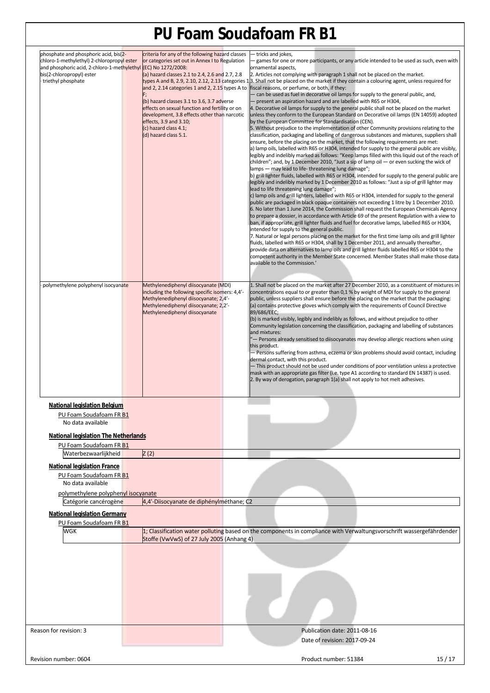| phosphate and phosphoric acid, bis(2-<br>chloro-1-methylethyl) 2-chloropropyl ester<br>and phosphoric acid, 2-chloro-1-methylethyl (EC) No 1272/2008:<br>bis(2-chloropropyl) ester<br>triethyl phosphate<br>polymethylene polyphenyl isocyanate | criteria for any of the following hazard classes<br>or categories set out in Annex I to Regulation<br>(a) hazard classes 2.1 to 2.4, 2.6 and 2.7, 2.8<br>and 2, 2.14 categories 1 and 2, 2.15 types A to<br>(b) hazard classes 3.1 to 3.6, 3.7 adverse<br>effects on sexual function and fertility or on<br>development, 3.8 effects other than narcotic<br>effects, 3.9 and 3.10;<br>(c) hazard class 4.1;<br>(d) hazard class 5.1.<br>Methylenediphenyl diisocyanate (MDI)<br>including the following specific isomers: 4,4'-<br>Methylenediphenyl diisocyanate; 2,4'-<br>Methylenediphenyl diisocyanate; 2,2'- | - tricks and jokes,<br>- games for one or more participants, or any article intended to be used as such, even with<br>ornamental aspects.<br>2. Articles not complying with paragraph 1 shall not be placed on the market.<br>types A and B, 2.9, 2.10, 2.12, 2.13 categories 13. Shall not be placed on the market if they contain a colouring agent, unless required for<br>fiscal reasons, or perfume, or both, if they:<br>- can be used as fuel in decorative oil lamps for supply to the general public, and,<br>- present an aspiration hazard and are labelled with R65 or H304,<br>4. Decorative oil lamps for supply to the general public shall not be placed on the market<br>unless they conform to the European Standard on Decorative oil lamps (EN 14059) adopted<br>by the European Committee for Standardisation (CEN).<br>5. Without prejudice to the implementation of other Community provisions relating to the<br>classification, packaging and labelling of dangerous substances and mixtures, suppliers shall<br>ensure, before the placing on the market, that the following requirements are met:<br>a) lamp oils, labelled with R65 or H304, intended for supply to the general public are visibly,<br>legibly and indelibly marked as follows: "Keep lamps filled with this liquid out of the reach of<br>children"; and, by 1 December 2010, "Just a sip of lamp oil $-$ or even sucking the wick of<br>lamps - may lead to life-threatening lung damage";<br>b) grill lighter fluids, labelled with R65 or H304, intended for supply to the general public are<br>legibly and indelibly marked by 1 December 2010 as follows: "Just a sip of grill lighter may<br>lead to life threatening lung damage";<br>c) lamp oils and grill lighters, labelled with R65 or H304, intended for supply to the general<br>public are packaged in black opaque containers not exceeding 1 litre by 1 December 2010.<br>6. No later than 1 June 2014, the Commission shall request the European Chemicals Agency<br>to prepare a dossier, in accordance with Article 69 of the present Regulation with a view to<br>ban, if appropriate, grill lighter fluids and fuel for decorative lamps, labelled R65 or H304,<br>intended for supply to the general public.<br>7. Natural or legal persons placing on the market for the first time lamp oils and grill lighter<br>fluids, labelled with R65 or H304, shall by 1 December 2011, and annually thereafter,<br>provide data on alternatives to lamp oils and grill lighter fluids labelled R65 or H304 to the<br>competent authority in the Member State concerned. Member States shall make those data<br>available to the Commission.'<br>1. Shall not be placed on the market after 27 December 2010, as a constituent of mixtures in<br>concentrations equal to or greater than 0,1 % by weight of MDI for supply to the general<br>public, unless suppliers shall ensure before the placing on the market that the packaging:<br>(a) contains protective gloves which comply with the requirements of Council Directive |
|-------------------------------------------------------------------------------------------------------------------------------------------------------------------------------------------------------------------------------------------------|-------------------------------------------------------------------------------------------------------------------------------------------------------------------------------------------------------------------------------------------------------------------------------------------------------------------------------------------------------------------------------------------------------------------------------------------------------------------------------------------------------------------------------------------------------------------------------------------------------------------|-------------------------------------------------------------------------------------------------------------------------------------------------------------------------------------------------------------------------------------------------------------------------------------------------------------------------------------------------------------------------------------------------------------------------------------------------------------------------------------------------------------------------------------------------------------------------------------------------------------------------------------------------------------------------------------------------------------------------------------------------------------------------------------------------------------------------------------------------------------------------------------------------------------------------------------------------------------------------------------------------------------------------------------------------------------------------------------------------------------------------------------------------------------------------------------------------------------------------------------------------------------------------------------------------------------------------------------------------------------------------------------------------------------------------------------------------------------------------------------------------------------------------------------------------------------------------------------------------------------------------------------------------------------------------------------------------------------------------------------------------------------------------------------------------------------------------------------------------------------------------------------------------------------------------------------------------------------------------------------------------------------------------------------------------------------------------------------------------------------------------------------------------------------------------------------------------------------------------------------------------------------------------------------------------------------------------------------------------------------------------------------------------------------------------------------------------------------------------------------------------------------------------------------------------------------------------------------------------------------------------------------------------------------------------------------------------------------------------------------------------------------------------------------------------------------------------------------------------------------------------------------------------------------------------------------------------------------------------------------------------------------------------------------------------------------------------------------------------|
|                                                                                                                                                                                                                                                 | Methylenediphenyl diisocyanate                                                                                                                                                                                                                                                                                                                                                                                                                                                                                                                                                                                    | 89/686/EEC;<br>(b) is marked visibly, legibly and indelibly as follows, and without prejudice to other<br>Community legislation concerning the classification, packaging and labelling of substances<br>and mixtures:<br>"— Persons already sensitised to diisocyanates may develop allergic reactions when using<br>this product.<br>- Persons suffering from asthma, eczema or skin problems should avoid contact, including<br>dermal contact, with this product.<br>- This product should not be used under conditions of poor ventilation unless a protective<br>mask with an appropriate gas filter (i.e. type A1 according to standard EN 14387) is used.<br>2. By way of derogation, paragraph 1(a) shall not apply to hot melt adhesives.                                                                                                                                                                                                                                                                                                                                                                                                                                                                                                                                                                                                                                                                                                                                                                                                                                                                                                                                                                                                                                                                                                                                                                                                                                                                                                                                                                                                                                                                                                                                                                                                                                                                                                                                                                                                                                                                                                                                                                                                                                                                                                                                                                                                                                                                                                                                              |
| <b>National legislation Belgium</b><br>PU Foam Soudafoam FR B1<br>No data available<br><b>National legislation The Netherlands</b>                                                                                                              |                                                                                                                                                                                                                                                                                                                                                                                                                                                                                                                                                                                                                   |                                                                                                                                                                                                                                                                                                                                                                                                                                                                                                                                                                                                                                                                                                                                                                                                                                                                                                                                                                                                                                                                                                                                                                                                                                                                                                                                                                                                                                                                                                                                                                                                                                                                                                                                                                                                                                                                                                                                                                                                                                                                                                                                                                                                                                                                                                                                                                                                                                                                                                                                                                                                                                                                                                                                                                                                                                                                                                                                                                                                                                                                                                 |
| PU Foam Soudafoam FR B1                                                                                                                                                                                                                         |                                                                                                                                                                                                                                                                                                                                                                                                                                                                                                                                                                                                                   |                                                                                                                                                                                                                                                                                                                                                                                                                                                                                                                                                                                                                                                                                                                                                                                                                                                                                                                                                                                                                                                                                                                                                                                                                                                                                                                                                                                                                                                                                                                                                                                                                                                                                                                                                                                                                                                                                                                                                                                                                                                                                                                                                                                                                                                                                                                                                                                                                                                                                                                                                                                                                                                                                                                                                                                                                                                                                                                                                                                                                                                                                                 |
| Waterbezwaarlijkheid                                                                                                                                                                                                                            | Z(2)                                                                                                                                                                                                                                                                                                                                                                                                                                                                                                                                                                                                              |                                                                                                                                                                                                                                                                                                                                                                                                                                                                                                                                                                                                                                                                                                                                                                                                                                                                                                                                                                                                                                                                                                                                                                                                                                                                                                                                                                                                                                                                                                                                                                                                                                                                                                                                                                                                                                                                                                                                                                                                                                                                                                                                                                                                                                                                                                                                                                                                                                                                                                                                                                                                                                                                                                                                                                                                                                                                                                                                                                                                                                                                                                 |
| <b>National legislation France</b><br>PU Foam Soudafoam FR B1<br>No data available<br>polymethylene polyphenyl isocyanate                                                                                                                       | 4,4'-Diisocyanate de diphénylméthane; C2                                                                                                                                                                                                                                                                                                                                                                                                                                                                                                                                                                          |                                                                                                                                                                                                                                                                                                                                                                                                                                                                                                                                                                                                                                                                                                                                                                                                                                                                                                                                                                                                                                                                                                                                                                                                                                                                                                                                                                                                                                                                                                                                                                                                                                                                                                                                                                                                                                                                                                                                                                                                                                                                                                                                                                                                                                                                                                                                                                                                                                                                                                                                                                                                                                                                                                                                                                                                                                                                                                                                                                                                                                                                                                 |
| Catégorie cancérogène                                                                                                                                                                                                                           |                                                                                                                                                                                                                                                                                                                                                                                                                                                                                                                                                                                                                   |                                                                                                                                                                                                                                                                                                                                                                                                                                                                                                                                                                                                                                                                                                                                                                                                                                                                                                                                                                                                                                                                                                                                                                                                                                                                                                                                                                                                                                                                                                                                                                                                                                                                                                                                                                                                                                                                                                                                                                                                                                                                                                                                                                                                                                                                                                                                                                                                                                                                                                                                                                                                                                                                                                                                                                                                                                                                                                                                                                                                                                                                                                 |
| <b>National legislation Germany</b>                                                                                                                                                                                                             |                                                                                                                                                                                                                                                                                                                                                                                                                                                                                                                                                                                                                   |                                                                                                                                                                                                                                                                                                                                                                                                                                                                                                                                                                                                                                                                                                                                                                                                                                                                                                                                                                                                                                                                                                                                                                                                                                                                                                                                                                                                                                                                                                                                                                                                                                                                                                                                                                                                                                                                                                                                                                                                                                                                                                                                                                                                                                                                                                                                                                                                                                                                                                                                                                                                                                                                                                                                                                                                                                                                                                                                                                                                                                                                                                 |
| PU Foam Soudafoam FR B1<br>WGK                                                                                                                                                                                                                  |                                                                                                                                                                                                                                                                                                                                                                                                                                                                                                                                                                                                                   | 1; Classification water polluting based on the components in compliance with Verwaltungsvorschrift wassergefährdender                                                                                                                                                                                                                                                                                                                                                                                                                                                                                                                                                                                                                                                                                                                                                                                                                                                                                                                                                                                                                                                                                                                                                                                                                                                                                                                                                                                                                                                                                                                                                                                                                                                                                                                                                                                                                                                                                                                                                                                                                                                                                                                                                                                                                                                                                                                                                                                                                                                                                                                                                                                                                                                                                                                                                                                                                                                                                                                                                                           |
|                                                                                                                                                                                                                                                 | Stoffe (VwVwS) of 27 July 2005 (Anhang 4)                                                                                                                                                                                                                                                                                                                                                                                                                                                                                                                                                                         |                                                                                                                                                                                                                                                                                                                                                                                                                                                                                                                                                                                                                                                                                                                                                                                                                                                                                                                                                                                                                                                                                                                                                                                                                                                                                                                                                                                                                                                                                                                                                                                                                                                                                                                                                                                                                                                                                                                                                                                                                                                                                                                                                                                                                                                                                                                                                                                                                                                                                                                                                                                                                                                                                                                                                                                                                                                                                                                                                                                                                                                                                                 |
|                                                                                                                                                                                                                                                 |                                                                                                                                                                                                                                                                                                                                                                                                                                                                                                                                                                                                                   |                                                                                                                                                                                                                                                                                                                                                                                                                                                                                                                                                                                                                                                                                                                                                                                                                                                                                                                                                                                                                                                                                                                                                                                                                                                                                                                                                                                                                                                                                                                                                                                                                                                                                                                                                                                                                                                                                                                                                                                                                                                                                                                                                                                                                                                                                                                                                                                                                                                                                                                                                                                                                                                                                                                                                                                                                                                                                                                                                                                                                                                                                                 |
|                                                                                                                                                                                                                                                 |                                                                                                                                                                                                                                                                                                                                                                                                                                                                                                                                                                                                                   |                                                                                                                                                                                                                                                                                                                                                                                                                                                                                                                                                                                                                                                                                                                                                                                                                                                                                                                                                                                                                                                                                                                                                                                                                                                                                                                                                                                                                                                                                                                                                                                                                                                                                                                                                                                                                                                                                                                                                                                                                                                                                                                                                                                                                                                                                                                                                                                                                                                                                                                                                                                                                                                                                                                                                                                                                                                                                                                                                                                                                                                                                                 |
| Reason for revision: 3                                                                                                                                                                                                                          |                                                                                                                                                                                                                                                                                                                                                                                                                                                                                                                                                                                                                   | Publication date: 2011-08-16<br>Date of revision: 2017-09-24                                                                                                                                                                                                                                                                                                                                                                                                                                                                                                                                                                                                                                                                                                                                                                                                                                                                                                                                                                                                                                                                                                                                                                                                                                                                                                                                                                                                                                                                                                                                                                                                                                                                                                                                                                                                                                                                                                                                                                                                                                                                                                                                                                                                                                                                                                                                                                                                                                                                                                                                                                                                                                                                                                                                                                                                                                                                                                                                                                                                                                    |
| Revision number: 0604                                                                                                                                                                                                                           |                                                                                                                                                                                                                                                                                                                                                                                                                                                                                                                                                                                                                   | Product number: 51384<br>15/17                                                                                                                                                                                                                                                                                                                                                                                                                                                                                                                                                                                                                                                                                                                                                                                                                                                                                                                                                                                                                                                                                                                                                                                                                                                                                                                                                                                                                                                                                                                                                                                                                                                                                                                                                                                                                                                                                                                                                                                                                                                                                                                                                                                                                                                                                                                                                                                                                                                                                                                                                                                                                                                                                                                                                                                                                                                                                                                                                                                                                                                                  |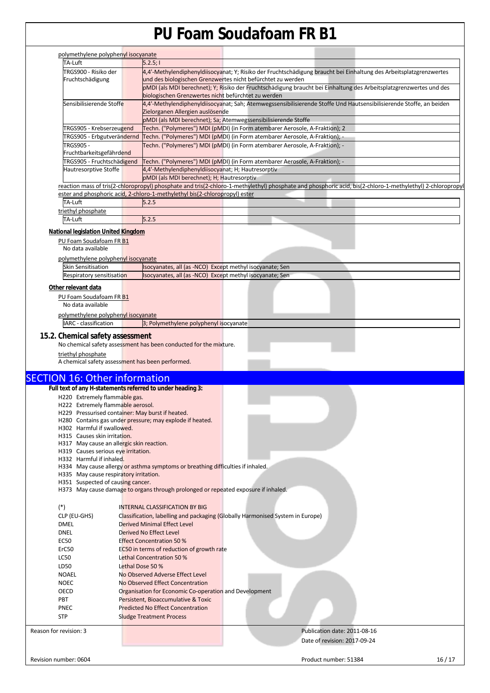| polymethylene polyphenyl isocyanate<br>TA-Luft                         |                  | 5.2.5;                                                                                                                                                                             |                                                                                                                                                            |  |  |  |  |
|------------------------------------------------------------------------|------------------|------------------------------------------------------------------------------------------------------------------------------------------------------------------------------------|------------------------------------------------------------------------------------------------------------------------------------------------------------|--|--|--|--|
| TRGS900 - Risiko der                                                   |                  |                                                                                                                                                                                    | 4,4'-Methylendiphenyldiisocyanat; Y; Risiko der Fruchtschädigung braucht bei Einhaltung des Arbeitsplatzgrenzwertes                                        |  |  |  |  |
| Fruchtschädigung                                                       |                  |                                                                                                                                                                                    |                                                                                                                                                            |  |  |  |  |
|                                                                        |                  | und des biologischen Grenzwertes nicht befürchtet zu werden<br>pMDI (als MDI berechnet); Y; Risiko der Fruchtschädigung braucht bei Einhaltung des Arbeitsplatzgrenzwertes und des |                                                                                                                                                            |  |  |  |  |
|                                                                        |                  | biologischen Grenzwertes nicht befürchtet zu werden                                                                                                                                |                                                                                                                                                            |  |  |  |  |
| Sensibilisierende Stoffe                                               |                  | 4,4'-Methylendiphenyldiisocyanat; Sah; Atemwegssensibilisierende Stoffe Und Hautsensibilisierende Stoffe, an beiden                                                                |                                                                                                                                                            |  |  |  |  |
|                                                                        |                  | Zielorganen Allergien auslösende                                                                                                                                                   |                                                                                                                                                            |  |  |  |  |
|                                                                        |                  | pMDI (als MDI berechnet); Sa; Atemwegssensibilisierende Stoffe                                                                                                                     |                                                                                                                                                            |  |  |  |  |
| TRGS905 - Krebserzeugend                                               |                  | Techn. ("Polymeres") MDI (pMDI) (in Form atembarer Aerosole, A-Fraktion); 2                                                                                                        |                                                                                                                                                            |  |  |  |  |
| TRGS905 - Erbgutverändernd                                             |                  | Techn. ("Polymeres") MDI (pMDI) (in Form atembarer Aerosole, A-Fraktion); -                                                                                                        |                                                                                                                                                            |  |  |  |  |
| <b>TRGS905 -</b>                                                       |                  | Techn. ("Polymeres") MDI (pMDI) (in Form atembarer Aerosole, A-Fraktion); -                                                                                                        |                                                                                                                                                            |  |  |  |  |
| Fruchtbarkeitsgefährdend                                               |                  |                                                                                                                                                                                    |                                                                                                                                                            |  |  |  |  |
| TRGS905 - Fruchtschädigend                                             |                  |                                                                                                                                                                                    | Techn. ("Polymeres") MDI (pMDI) (in Form atembarer Aerosole, A-Fraktion); -                                                                                |  |  |  |  |
| Hautresorptive Stoffe                                                  |                  | 4,4'-Methylendiphenyldiisocyanat; H; Hautresorptiv                                                                                                                                 |                                                                                                                                                            |  |  |  |  |
|                                                                        |                  | pMDI (als MDI berechnet); H; Hautresorptiv                                                                                                                                         |                                                                                                                                                            |  |  |  |  |
|                                                                        |                  |                                                                                                                                                                                    | reaction mass of tris(2-chloropropyl) phosphate and tris(2-chloro-1-methylethyl) phosphate and phosphoric acid, bis(2-chloro-1-methylethyl) 2-chloropropyl |  |  |  |  |
|                                                                        |                  | ester and phosphoric acid, 2-chloro-1-methylethyl bis(2-chloropropyl) ester                                                                                                        |                                                                                                                                                            |  |  |  |  |
| TA-Luft                                                                |                  | 5.2.5                                                                                                                                                                              |                                                                                                                                                            |  |  |  |  |
| triethyl phosphate                                                     |                  |                                                                                                                                                                                    |                                                                                                                                                            |  |  |  |  |
| TA-Luft                                                                |                  | 5.2.5                                                                                                                                                                              |                                                                                                                                                            |  |  |  |  |
| National legislation United Kingdom                                    |                  |                                                                                                                                                                                    |                                                                                                                                                            |  |  |  |  |
| PU Foam Soudafoam FR B1                                                |                  |                                                                                                                                                                                    |                                                                                                                                                            |  |  |  |  |
| No data available                                                      |                  |                                                                                                                                                                                    |                                                                                                                                                            |  |  |  |  |
|                                                                        |                  |                                                                                                                                                                                    |                                                                                                                                                            |  |  |  |  |
| polymethylene polyphenyl isocyanate                                    |                  |                                                                                                                                                                                    |                                                                                                                                                            |  |  |  |  |
| <b>Skin Sensitisation</b>                                              |                  | Isocyanates, all (as -NCO) Except methyl isocyanate; Sen<br>Isocyanates, all (as -NCO) Except methyl isocyanate; Sen                                                               |                                                                                                                                                            |  |  |  |  |
| Respiratory sensitisation                                              |                  |                                                                                                                                                                                    |                                                                                                                                                            |  |  |  |  |
| Other relevant data                                                    |                  |                                                                                                                                                                                    |                                                                                                                                                            |  |  |  |  |
| PU Foam Soudafoam FR B1                                                |                  |                                                                                                                                                                                    |                                                                                                                                                            |  |  |  |  |
| No data available                                                      |                  |                                                                                                                                                                                    |                                                                                                                                                            |  |  |  |  |
| polymethylene polyphenyl isocyanate                                    |                  |                                                                                                                                                                                    |                                                                                                                                                            |  |  |  |  |
| IARC - classification                                                  |                  | 3; Polymethylene polyphenyl isocyanate                                                                                                                                             |                                                                                                                                                            |  |  |  |  |
| triethyl phosphate<br>A chemical safety assessment has been performed. |                  | No chemical safety assessment has been conducted for the mixture.                                                                                                                  |                                                                                                                                                            |  |  |  |  |
|                                                                        |                  |                                                                                                                                                                                    |                                                                                                                                                            |  |  |  |  |
|                                                                        |                  |                                                                                                                                                                                    |                                                                                                                                                            |  |  |  |  |
|                                                                        |                  |                                                                                                                                                                                    |                                                                                                                                                            |  |  |  |  |
| Full text of any H-statements referred to under heading 3:             |                  |                                                                                                                                                                                    |                                                                                                                                                            |  |  |  |  |
| H220 Extremely flammable gas.<br>H222 Extremely flammable aerosol.     |                  |                                                                                                                                                                                    |                                                                                                                                                            |  |  |  |  |
| H229 Pressurised container: May burst if heated.                       |                  |                                                                                                                                                                                    |                                                                                                                                                            |  |  |  |  |
|                                                                        |                  | H280 Contains gas under pressure; may explode if heated.                                                                                                                           |                                                                                                                                                            |  |  |  |  |
| H302 Harmful if swallowed.                                             |                  |                                                                                                                                                                                    |                                                                                                                                                            |  |  |  |  |
| H315 Causes skin irritation.                                           |                  |                                                                                                                                                                                    |                                                                                                                                                            |  |  |  |  |
| H317 May cause an allergic skin reaction.                              |                  |                                                                                                                                                                                    |                                                                                                                                                            |  |  |  |  |
| H319 Causes serious eye irritation.                                    |                  |                                                                                                                                                                                    |                                                                                                                                                            |  |  |  |  |
| H332 Harmful if inhaled.                                               |                  |                                                                                                                                                                                    |                                                                                                                                                            |  |  |  |  |
|                                                                        |                  | H334 May cause allergy or asthma symptoms or breathing difficulties if inhaled.                                                                                                    |                                                                                                                                                            |  |  |  |  |
| H335 May cause respiratory irritation.                                 |                  |                                                                                                                                                                                    |                                                                                                                                                            |  |  |  |  |
| H351 Suspected of causing cancer.                                      |                  |                                                                                                                                                                                    |                                                                                                                                                            |  |  |  |  |
|                                                                        |                  | H373 May cause damage to organs through prolonged or repeated exposure if inhaled.                                                                                                 |                                                                                                                                                            |  |  |  |  |
|                                                                        |                  | <b>INTERNAL CLASSIFICATION BY BIG</b>                                                                                                                                              |                                                                                                                                                            |  |  |  |  |
| $(*)$                                                                  |                  |                                                                                                                                                                                    |                                                                                                                                                            |  |  |  |  |
| CLP (EU-GHS)                                                           |                  |                                                                                                                                                                                    | Classification, labelling and packaging (Globally Harmonised System in Europe)                                                                             |  |  |  |  |
| DMEL                                                                   |                  | Derived Minimal Effect Level                                                                                                                                                       |                                                                                                                                                            |  |  |  |  |
| DNEL                                                                   |                  | Derived No Effect Level                                                                                                                                                            |                                                                                                                                                            |  |  |  |  |
| EC50                                                                   |                  | <b>Effect Concentration 50 %</b>                                                                                                                                                   |                                                                                                                                                            |  |  |  |  |
| ErC50                                                                  |                  | EC50 in terms of reduction of growth rate                                                                                                                                          |                                                                                                                                                            |  |  |  |  |
| <b>LC50</b>                                                            |                  | Lethal Concentration 50 %                                                                                                                                                          |                                                                                                                                                            |  |  |  |  |
| LD50                                                                   | Lethal Dose 50 % |                                                                                                                                                                                    |                                                                                                                                                            |  |  |  |  |
| <b>NOAEL</b>                                                           |                  | No Observed Adverse Effect Level                                                                                                                                                   |                                                                                                                                                            |  |  |  |  |
| <b>NOEC</b>                                                            |                  | No Observed Effect Concentration                                                                                                                                                   |                                                                                                                                                            |  |  |  |  |
| OECD                                                                   |                  | Organisation for Economic Co-operation and Development                                                                                                                             |                                                                                                                                                            |  |  |  |  |
| <b>SECTION 16: Other information</b><br>PBT                            |                  | Persistent, Bioaccumulative & Toxic                                                                                                                                                |                                                                                                                                                            |  |  |  |  |
| PNEC                                                                   |                  | <b>Predicted No Effect Concentration</b>                                                                                                                                           |                                                                                                                                                            |  |  |  |  |
| <b>STP</b>                                                             |                  | <b>Sludge Treatment Process</b>                                                                                                                                                    |                                                                                                                                                            |  |  |  |  |
|                                                                        |                  |                                                                                                                                                                                    |                                                                                                                                                            |  |  |  |  |
| Reason for revision: 3                                                 |                  |                                                                                                                                                                                    | Publication date: 2011-08-16                                                                                                                               |  |  |  |  |
|                                                                        |                  |                                                                                                                                                                                    | Date of revision: 2017-09-24                                                                                                                               |  |  |  |  |
| Revision number: 0604                                                  |                  |                                                                                                                                                                                    | Product number: 51384<br>16/17                                                                                                                             |  |  |  |  |